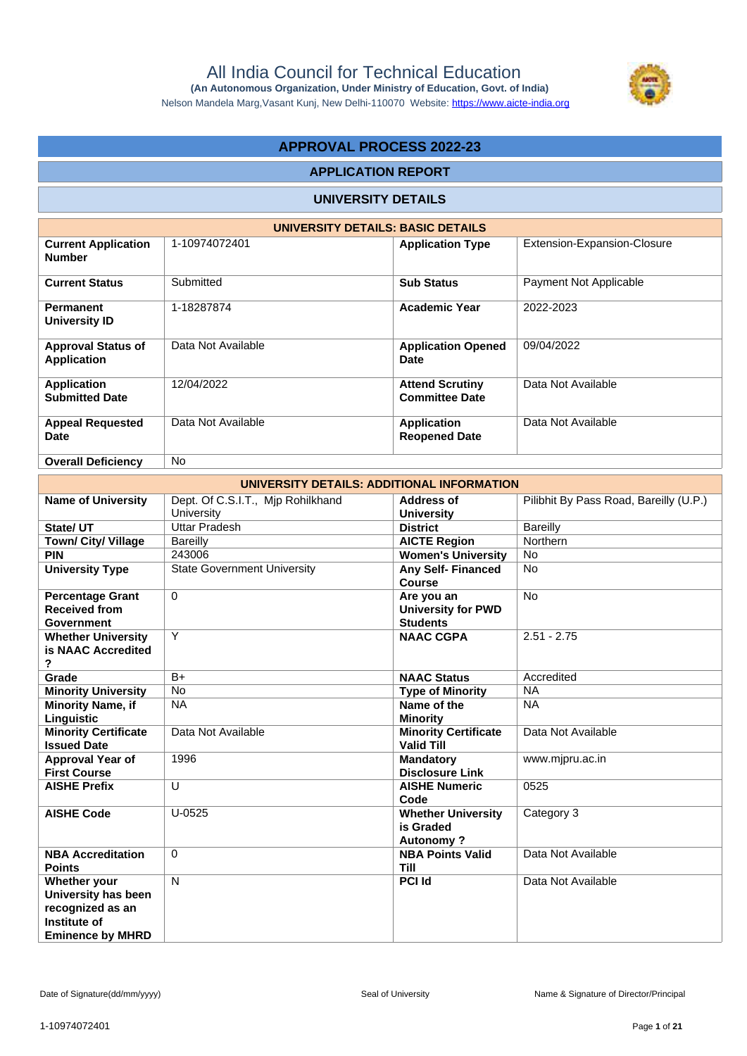

Nelson Mandela Marg,Vasant Kunj, New Delhi-110070 Website: https://www.aicte-india.org

# **APPROVAL PROCESS 2022-23**

## **APPLICATION REPORT**

# **UNIVERSITY DETAILS**

|                                                 | UNIVERSITY DETAILS: BASIC DETAILS |                                                 |                             |  |  |  |  |  |  |  |  |  |
|-------------------------------------------------|-----------------------------------|-------------------------------------------------|-----------------------------|--|--|--|--|--|--|--|--|--|
| <b>Current Application</b><br><b>Number</b>     | 1-10974072401                     | <b>Application Type</b>                         | Extension-Expansion-Closure |  |  |  |  |  |  |  |  |  |
| <b>Current Status</b>                           | Submitted                         | <b>Sub Status</b>                               | Payment Not Applicable      |  |  |  |  |  |  |  |  |  |
| Permanent<br><b>University ID</b>               | 1-18287874                        | <b>Academic Year</b>                            | 2022-2023                   |  |  |  |  |  |  |  |  |  |
| <b>Approval Status of</b><br><b>Application</b> | Data Not Available                | <b>Application Opened</b><br>Date               | 09/04/2022                  |  |  |  |  |  |  |  |  |  |
| <b>Application</b><br><b>Submitted Date</b>     | 12/04/2022                        | <b>Attend Scrutiny</b><br><b>Committee Date</b> | Data Not Available          |  |  |  |  |  |  |  |  |  |
| <b>Appeal Requested</b><br><b>Date</b>          | Data Not Available                | <b>Application</b><br><b>Reopened Date</b>      | Data Not Available          |  |  |  |  |  |  |  |  |  |
| <b>Overall Deficiency</b>                       | <b>No</b>                         |                                                 |                             |  |  |  |  |  |  |  |  |  |

| UNIVERSITY DETAILS: ADDITIONAL INFORMATION                                                         |                                                 |                                                            |                                        |  |  |  |  |  |  |
|----------------------------------------------------------------------------------------------------|-------------------------------------------------|------------------------------------------------------------|----------------------------------------|--|--|--|--|--|--|
| <b>Name of University</b>                                                                          | Dept. Of C.S.I.T., Mjp Rohilkhand<br>University | Address of<br><b>University</b>                            | Pilibhit By Pass Road, Bareilly (U.P.) |  |  |  |  |  |  |
| State/ UT                                                                                          | <b>Uttar Pradesh</b>                            | <b>District</b>                                            | <b>Bareilly</b>                        |  |  |  |  |  |  |
| Town/ City/ Village                                                                                | Bareilly                                        | <b>AICTE Region</b>                                        | Northern                               |  |  |  |  |  |  |
| <b>PIN</b>                                                                                         | 243006                                          | <b>Women's University</b>                                  | <b>No</b>                              |  |  |  |  |  |  |
| <b>University Type</b>                                                                             | <b>State Government University</b>              | <b>Any Self- Financed</b><br>Course                        | <b>No</b>                              |  |  |  |  |  |  |
| <b>Percentage Grant</b><br><b>Received from</b><br>Government                                      | $\Omega$                                        | Are you an<br><b>University for PWD</b><br><b>Students</b> | <b>No</b>                              |  |  |  |  |  |  |
| <b>Whether University</b><br>is NAAC Accredited<br>?                                               | Y                                               | <b>NAAC CGPA</b>                                           | $2.51 - 2.75$                          |  |  |  |  |  |  |
| Grade                                                                                              | $B+$                                            | <b>NAAC Status</b>                                         | Accredited                             |  |  |  |  |  |  |
| <b>Minority University</b>                                                                         | No                                              | <b>Type of Minority</b>                                    | <b>NA</b>                              |  |  |  |  |  |  |
| <b>Minority Name, if</b><br>Linguistic                                                             | <b>NA</b>                                       | Name of the<br><b>Minority</b>                             | <b>NA</b>                              |  |  |  |  |  |  |
| <b>Minority Certificate</b><br><b>Issued Date</b>                                                  | Data Not Available                              | <b>Minority Certificate</b><br><b>Valid Till</b>           | Data Not Available                     |  |  |  |  |  |  |
| Approval Year of<br><b>First Course</b>                                                            | 1996                                            | <b>Mandatory</b><br><b>Disclosure Link</b>                 | www.mjpru.ac.in                        |  |  |  |  |  |  |
| <b>AISHE Prefix</b>                                                                                | U                                               | <b>AISHE Numeric</b><br>Code                               | 0525                                   |  |  |  |  |  |  |
| <b>AISHE Code</b>                                                                                  | $U-0525$                                        | <b>Whether University</b><br>is Graded<br><b>Autonomy?</b> | Category 3                             |  |  |  |  |  |  |
| <b>NBA Accreditation</b><br><b>Points</b>                                                          | $\Omega$                                        | <b>NBA Points Valid</b><br><b>Till</b>                     | Data Not Available                     |  |  |  |  |  |  |
| Whether your<br>University has been<br>recognized as an<br>Institute of<br><b>Eminence by MHRD</b> | $\mathsf{N}$                                    | <b>PCI Id</b>                                              | Data Not Available                     |  |  |  |  |  |  |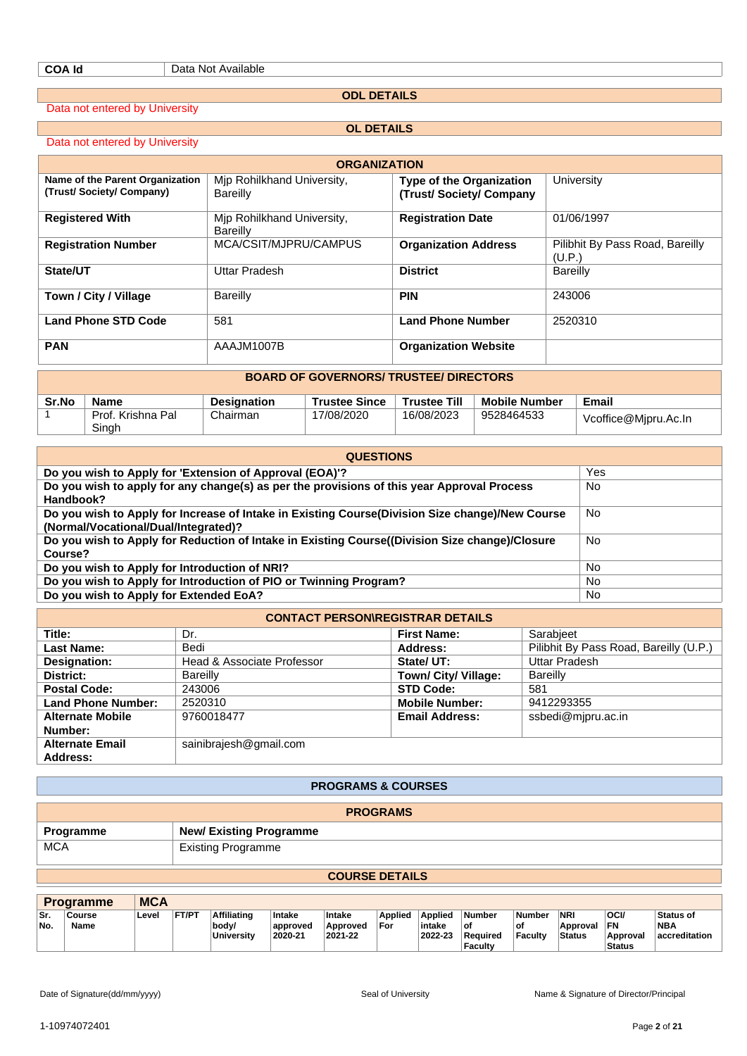**ODL DETAILS**

Data not entered by University

Data not entered by University

|  |  | <b>OL DETAILS</b> |  |  |
|--|--|-------------------|--|--|
|  |  |                   |  |  |

| <b>ORGANIZATION</b>                                        |                                        |                                                           |                                           |  |  |  |  |  |  |  |
|------------------------------------------------------------|----------------------------------------|-----------------------------------------------------------|-------------------------------------------|--|--|--|--|--|--|--|
| Name of the Parent Organization<br>(Trust/Society/Company) | Mip Rohilkhand University,<br>Bareilly | <b>Type of the Organization</b><br>(Trust/Society/Company | University                                |  |  |  |  |  |  |  |
| <b>Registered With</b>                                     | Mip Rohilkhand University,<br>Bareilly | <b>Registration Date</b>                                  | 01/06/1997                                |  |  |  |  |  |  |  |
| <b>Registration Number</b>                                 | MCA/CSIT/MJPRU/CAMPUS                  | <b>Organization Address</b>                               | Pilibhit By Pass Road, Bareilly<br>(U.P.) |  |  |  |  |  |  |  |
| State/UT                                                   | Uttar Pradesh                          | <b>District</b>                                           | Bareilly                                  |  |  |  |  |  |  |  |
| Town / City / Village                                      | Bareilly                               | <b>PIN</b>                                                | 243006                                    |  |  |  |  |  |  |  |
| <b>Land Phone STD Code</b>                                 | 581                                    | <b>Land Phone Number</b>                                  | 2520310                                   |  |  |  |  |  |  |  |
| <b>PAN</b>                                                 | AAAJM1007B                             | <b>Organization Website</b>                               |                                           |  |  |  |  |  |  |  |
| <b>BOARD OF GOVERNORS/ TRUSTEE/ DIRECTORS</b>              |                                        |                                                           |                                           |  |  |  |  |  |  |  |

| Sr.No | Name                       | <b>Designation</b> | <b>Trustee Since</b> | <b>Trustee Till</b> | <b>Mobile Number</b> | Email                |
|-------|----------------------------|--------------------|----------------------|---------------------|----------------------|----------------------|
|       | Prof. Krishna Pal<br>Singh | Chairman           | 17/08/2020           | 16/08/2023          | 9528464533           | Vcoffice@Mjpru.Ac.In |

| <b>QUESTIONS</b>                                                                                                                        |     |  |  |  |  |  |  |  |
|-----------------------------------------------------------------------------------------------------------------------------------------|-----|--|--|--|--|--|--|--|
| Do you wish to Apply for 'Extension of Approval (EOA)'?                                                                                 | Yes |  |  |  |  |  |  |  |
| Do you wish to apply for any change(s) as per the provisions of this year Approval Process<br>Handbook?                                 | No  |  |  |  |  |  |  |  |
| Do you wish to Apply for Increase of Intake in Existing Course(Division Size change)/New Course<br>(Normal/Vocational/Dual/Integrated)? | No  |  |  |  |  |  |  |  |
| Do you wish to Apply for Reduction of Intake in Existing Course((Division Size change)/Closure<br>Course?                               | No  |  |  |  |  |  |  |  |
| Do you wish to Apply for Introduction of NRI?                                                                                           | No  |  |  |  |  |  |  |  |
| Do you wish to Apply for Introduction of PIO or Twinning Program?                                                                       | No. |  |  |  |  |  |  |  |
| Do you wish to Apply for Extended EoA?                                                                                                  | No  |  |  |  |  |  |  |  |

| <b>CONTACT PERSON\REGISTRAR DETAILS</b> |                            |                       |                                        |  |  |  |  |  |  |  |
|-----------------------------------------|----------------------------|-----------------------|----------------------------------------|--|--|--|--|--|--|--|
| Title:                                  | Dr.                        | <b>First Name:</b>    | Sarabjeet                              |  |  |  |  |  |  |  |
| <b>Last Name:</b>                       | Bedi                       | Address:              | Pilibhit By Pass Road, Bareilly (U.P.) |  |  |  |  |  |  |  |
| Designation:                            | Head & Associate Professor | State/ UT:            | <b>Uttar Pradesh</b>                   |  |  |  |  |  |  |  |
| District:                               | <b>Bareilly</b>            | Town/ City/ Village:  | Bareilly                               |  |  |  |  |  |  |  |
| <b>Postal Code:</b>                     | 243006                     | <b>STD Code:</b>      | 581                                    |  |  |  |  |  |  |  |
| <b>Land Phone Number:</b>               | 2520310                    | <b>Mobile Number:</b> | 9412293355                             |  |  |  |  |  |  |  |
| <b>Alternate Mobile</b>                 | 9760018477                 | <b>Email Address:</b> | ssbedi@mjpru.ac.in                     |  |  |  |  |  |  |  |
| Number:                                 |                            |                       |                                        |  |  |  |  |  |  |  |
| <b>Alternate Email</b>                  | sainibrajesh@gmail.com     |                       |                                        |  |  |  |  |  |  |  |
| Address:                                |                            |                       |                                        |  |  |  |  |  |  |  |

### **PROGRAMS & COURSES**

| <b>PROGRAMS</b> |                                |  |  |  |  |  |
|-----------------|--------------------------------|--|--|--|--|--|
| Programme       | <b>New/ Existing Programme</b> |  |  |  |  |  |
| <b>MCA</b>      | <b>Existing Programme</b>      |  |  |  |  |  |

# **COURSE DETAILS**

|             | <b>Programme</b> | <b>MCA</b> |              |                                                  |                               |                               |                |                                     |                                                          |                                       |                                  |                                         |                                           |
|-------------|------------------|------------|--------------|--------------------------------------------------|-------------------------------|-------------------------------|----------------|-------------------------------------|----------------------------------------------------------|---------------------------------------|----------------------------------|-----------------------------------------|-------------------------------------------|
| ∣Sr.<br>No. | Course<br>Name   | Level      | <b>FT/PT</b> | <b>Affiliating</b><br>body/<br><b>University</b> | Intake<br>approved<br>2020-21 | Intake<br>Approved<br>2021-22 | Applied<br>For | <b>Applied</b><br>intake<br>2022-23 | <b>Number</b><br>οf<br><b>Required</b><br><b>Faculty</b> | <b>Number</b><br>оt<br><b>Faculty</b> | <b>NRI</b><br>Approval<br>Status | OCI/<br>FN<br>Approval<br><b>Status</b> | <b>Status of</b><br>'NBA<br>accreditation |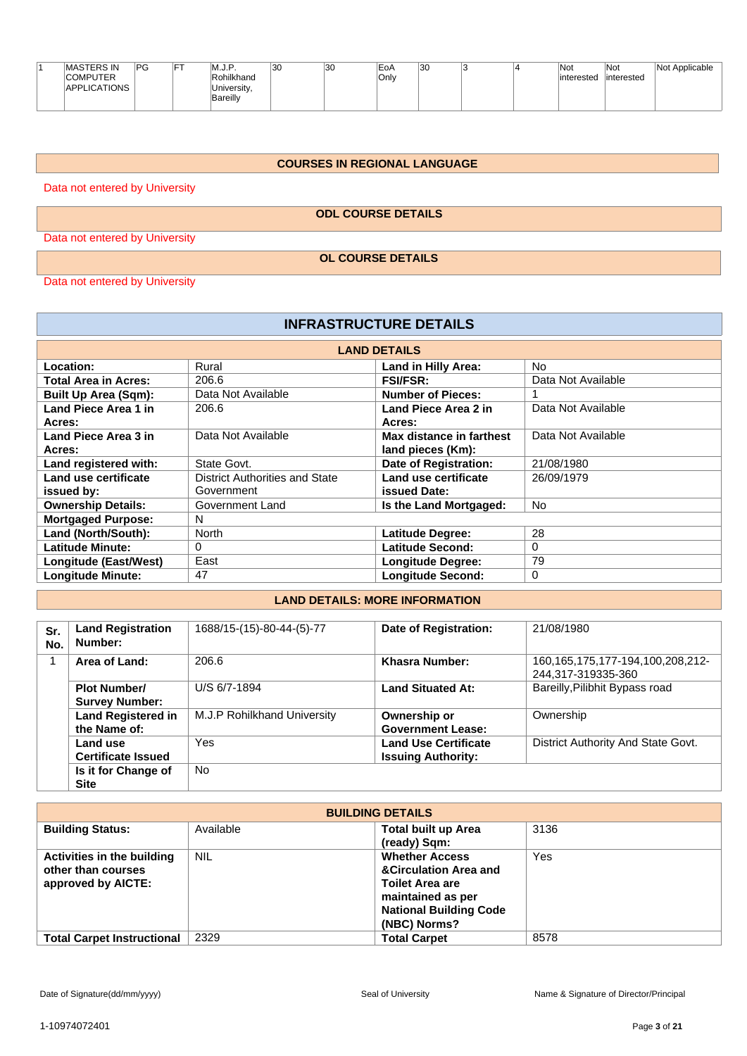|  | <b>MASTERS IN</b><br><b>COMPUTER</b><br>APPLICATIONS | <b>PG</b> | -- | ם .<br>IVI.J.F<br>Rohilkhand<br>University,<br><b>Bareilly</b> | 30 | 30 | EoA<br>Only | 30 |  |  | <b>Not</b><br>interested | 'Not<br>interested | Applicable<br>Not |
|--|------------------------------------------------------|-----------|----|----------------------------------------------------------------|----|----|-------------|----|--|--|--------------------------|--------------------|-------------------|
|--|------------------------------------------------------|-----------|----|----------------------------------------------------------------|----|----|-------------|----|--|--|--------------------------|--------------------|-------------------|

# **COURSES IN REGIONAL LANGUAGE**

Data not entered by University

**ODL COURSE DETAILS**

Data not entered by University

**OL COURSE DETAILS**

Data not entered by University

 $\mathbf{r}$ 

| <b>INFRASTRUCTURE DETAILS</b> |                                       |                          |                    |  |  |  |  |  |  |  |
|-------------------------------|---------------------------------------|--------------------------|--------------------|--|--|--|--|--|--|--|
| <b>LAND DETAILS</b>           |                                       |                          |                    |  |  |  |  |  |  |  |
| Location:                     | Rural                                 | Land in Hilly Area:      | No.                |  |  |  |  |  |  |  |
| <b>Total Area in Acres:</b>   | 206.6                                 | <b>FSI/FSR:</b>          | Data Not Available |  |  |  |  |  |  |  |
| <b>Built Up Area (Sqm):</b>   | Data Not Available                    | <b>Number of Pieces:</b> |                    |  |  |  |  |  |  |  |
| Land Piece Area 1 in          | 206.6                                 | Land Piece Area 2 in     | Data Not Available |  |  |  |  |  |  |  |
| Acres:                        |                                       | Acres:                   |                    |  |  |  |  |  |  |  |
| Land Piece Area 3 in          | Data Not Available                    | Max distance in farthest | Data Not Available |  |  |  |  |  |  |  |
| Acres:                        |                                       | land pieces (Km):        |                    |  |  |  |  |  |  |  |
| Land registered with:         | State Govt.                           | Date of Registration:    | 21/08/1980         |  |  |  |  |  |  |  |
| Land use certificate          | <b>District Authorities and State</b> | Land use certificate     | 26/09/1979         |  |  |  |  |  |  |  |
| issued by:                    | Government                            | issued Date:             |                    |  |  |  |  |  |  |  |
| <b>Ownership Details:</b>     | Government Land                       | Is the Land Mortgaged:   | <b>No</b>          |  |  |  |  |  |  |  |
| <b>Mortgaged Purpose:</b>     | N                                     |                          |                    |  |  |  |  |  |  |  |
| Land (North/South):           | North                                 | Latitude Degree:         | 28                 |  |  |  |  |  |  |  |
| <b>Latitude Minute:</b>       | 0                                     | <b>Latitude Second:</b>  | 0                  |  |  |  |  |  |  |  |
| Longitude (East/West)         | East                                  | <b>Longitude Degree:</b> | 79                 |  |  |  |  |  |  |  |
| <b>Longitude Minute:</b>      | 47                                    | <b>Longitude Second:</b> | 0                  |  |  |  |  |  |  |  |

# **LAND DETAILS: MORE INFORMATION**

| Sr.<br>No. | <b>Land Registration</b><br>Number:          | 1688/15-(15)-80-44-(5)-77   | Date of Registration:                                    | 21/08/1980                                             |
|------------|----------------------------------------------|-----------------------------|----------------------------------------------------------|--------------------------------------------------------|
|            | Area of Land:                                | 206.6                       | Khasra Number:                                           | 160,165,175,177-194,100,208,212-<br>244,317-319335-360 |
|            | <b>Plot Number/</b><br><b>Survey Number:</b> | U/S 6/7-1894                | <b>Land Situated At:</b>                                 | Bareilly, Pilibhit Bypass road                         |
|            | <b>Land Registered in</b><br>the Name of:    | M.J.P Rohilkhand University | Ownership or<br><b>Government Lease:</b>                 | Ownership                                              |
|            | Land use<br><b>Certificate Issued</b>        | Yes                         | <b>Land Use Certificate</b><br><b>Issuing Authority:</b> | District Authority And State Govt.                     |
|            | Is it for Change of<br><b>Site</b>           | <b>No</b>                   |                                                          |                                                        |

| <b>BUILDING DETAILS</b>                                                |            |                                                                                                                                                           |      |
|------------------------------------------------------------------------|------------|-----------------------------------------------------------------------------------------------------------------------------------------------------------|------|
| <b>Building Status:</b>                                                | Available  | <b>Total built up Area</b>                                                                                                                                | 3136 |
|                                                                        |            | (ready) Sqm:                                                                                                                                              |      |
| Activities in the building<br>other than courses<br>approved by AICTE: | <b>NIL</b> | <b>Whether Access</b><br><b>&amp;Circulation Area and</b><br><b>Toilet Area are</b><br>maintained as per<br><b>National Building Code</b><br>(NBC) Norms? | Yes  |
| <b>Total Carpet Instructional</b>                                      | 2329       | <b>Total Carpet</b>                                                                                                                                       | 8578 |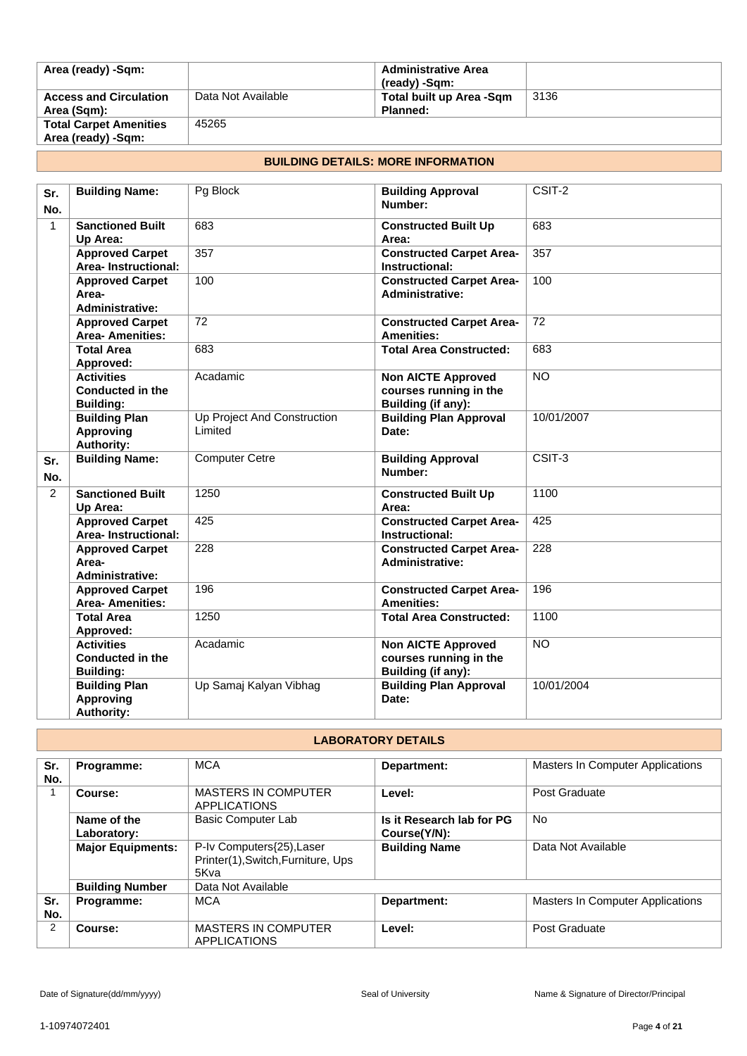| Area (ready) -Sqm:                                  |                    | <b>Administrative Area</b><br>(ready) -Sqm: |      |
|-----------------------------------------------------|--------------------|---------------------------------------------|------|
| <b>Access and Circulation</b><br>Area (Sqm):        | Data Not Available | Total built up Area -Sqm<br>Planned:        | 3136 |
| <b>Total Carpet Amenities</b><br>Area (ready) -Sqm: | 45265              |                                             |      |

# **BUILDING DETAILS: MORE INFORMATION**

| Sr.            | <b>Building Name:</b>                                            | Pg Block                               | <b>Building Approval</b>                                                  | CSIT-2          |
|----------------|------------------------------------------------------------------|----------------------------------------|---------------------------------------------------------------------------|-----------------|
| No.            |                                                                  |                                        | Number:                                                                   |                 |
| $\mathbf{1}$   | <b>Sanctioned Built</b><br>Up Area:                              | 683                                    | <b>Constructed Built Up</b><br>Area:                                      | 683             |
|                | <b>Approved Carpet</b><br>Area-Instructional:                    | 357                                    | <b>Constructed Carpet Area-</b><br>Instructional:                         | 357             |
|                | <b>Approved Carpet</b><br>Area-<br><b>Administrative:</b>        | 100                                    | <b>Constructed Carpet Area-</b><br><b>Administrative:</b>                 | 100             |
|                | <b>Approved Carpet</b><br><b>Area-Amenities:</b>                 | $\overline{72}$                        | <b>Constructed Carpet Area-</b><br><b>Amenities:</b>                      | $\overline{72}$ |
|                | <b>Total Area</b><br>Approved:                                   | 683                                    | <b>Total Area Constructed:</b>                                            | 683             |
|                | <b>Activities</b><br><b>Conducted in the</b><br><b>Building:</b> | Acadamic                               | <b>Non AICTE Approved</b><br>courses running in the<br>Building (if any): | <b>NO</b>       |
|                | <b>Building Plan</b><br><b>Approving</b><br><b>Authority:</b>    | Up Project And Construction<br>Limited | <b>Building Plan Approval</b><br>Date:                                    | 10/01/2007      |
| Sr.<br>No.     | <b>Building Name:</b>                                            | <b>Computer Cetre</b>                  | <b>Building Approval</b><br>Number:                                       | CSIT-3          |
| $\overline{2}$ | <b>Sanctioned Built</b><br>Up Area:                              | 1250                                   | <b>Constructed Built Up</b><br>Area:                                      | 1100            |
|                | <b>Approved Carpet</b><br>Area-Instructional:                    | 425                                    | <b>Constructed Carpet Area-</b><br>Instructional:                         | 425             |
|                | <b>Approved Carpet</b><br>Area-<br><b>Administrative:</b>        | 228                                    | <b>Constructed Carpet Area-</b><br><b>Administrative:</b>                 | 228             |
|                | <b>Approved Carpet</b><br><b>Area-Amenities:</b>                 | 196                                    | <b>Constructed Carpet Area-</b><br><b>Amenities:</b>                      | 196             |
|                | <b>Total Area</b><br>Approved:                                   | 1250                                   | <b>Total Area Constructed:</b>                                            | 1100            |
|                | <b>Activities</b><br><b>Conducted in the</b><br><b>Building:</b> | Acadamic                               | <b>Non AICTE Approved</b><br>courses running in the<br>Building (if any): | <b>NO</b>       |
|                | <b>Building Plan</b><br><b>Approving</b><br><b>Authority:</b>    | Up Samaj Kalyan Vibhag                 | <b>Building Plan Approval</b><br>Date:                                    | 10/01/2004      |

# **LABORATORY DETAILS**

| Sr. | Programme:               | <b>MCA</b>                                        | Department:               | Masters In Computer Applications |
|-----|--------------------------|---------------------------------------------------|---------------------------|----------------------------------|
| No. |                          |                                                   |                           |                                  |
|     | Course:                  | <b>MASTERS IN COMPUTER</b><br><b>APPLICATIONS</b> | Level:                    | Post Graduate                    |
|     | Name of the              | Basic Computer Lab                                | Is it Research lab for PG | <b>No</b>                        |
|     | Laboratory:              |                                                   | Course(Y/N):              |                                  |
|     | <b>Major Equipments:</b> | P-Iv Computers{25), Laser                         | <b>Building Name</b>      | Data Not Available               |
|     |                          | Printer(1), Switch, Furniture, Ups                |                           |                                  |
|     |                          | 5Kva                                              |                           |                                  |
|     | <b>Building Number</b>   | Data Not Available                                |                           |                                  |
| Sr. | Programme:               | <b>MCA</b>                                        | Department:               | Masters In Computer Applications |
| No. |                          |                                                   |                           |                                  |
| 2   | Course:                  | <b>MASTERS IN COMPUTER</b>                        | Level:                    | Post Graduate                    |
|     |                          | <b>APPLICATIONS</b>                               |                           |                                  |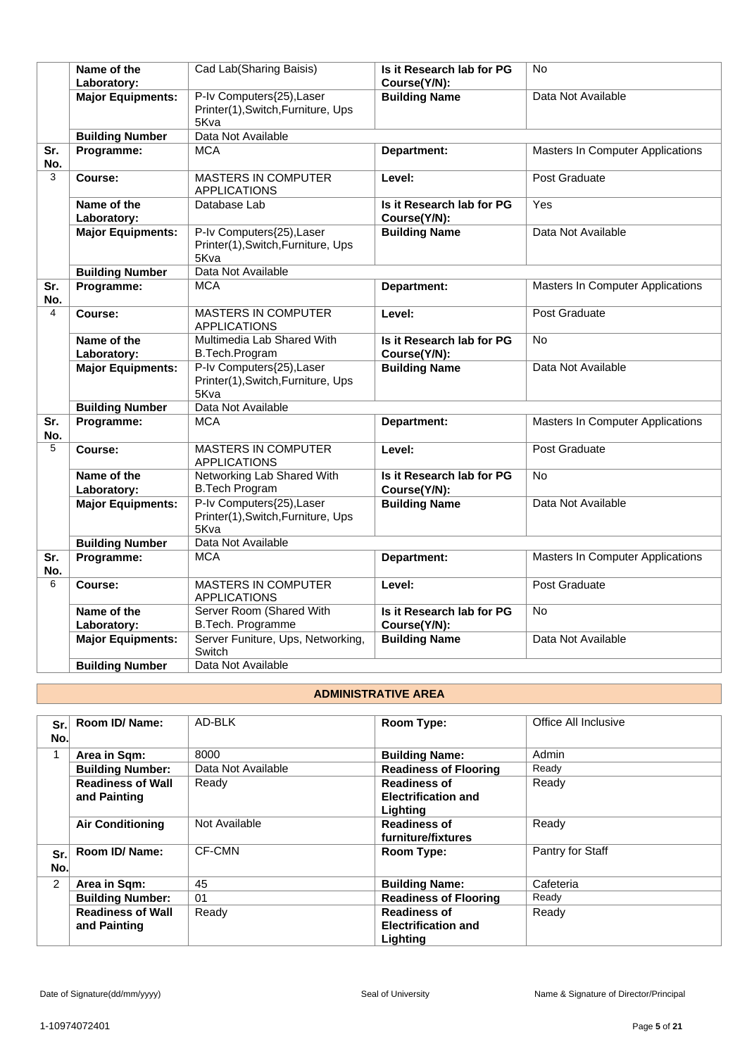|                | Name of the<br>Laboratory: | Cad Lab(Sharing Baisis)                                                 | Is it Research lab for PG<br>Course(Y/N): | <b>No</b>                               |
|----------------|----------------------------|-------------------------------------------------------------------------|-------------------------------------------|-----------------------------------------|
|                | <b>Major Equipments:</b>   | P-Iv Computers{25), Laser<br>Printer(1), Switch, Furniture, Ups<br>5Kva | <b>Building Name</b>                      | Data Not Available                      |
|                | <b>Building Number</b>     | Data Not Available                                                      |                                           |                                         |
| Sr.<br>No.     | Programme:                 | <b>MCA</b>                                                              | Department:                               | <b>Masters In Computer Applications</b> |
| 3              | Course:                    | <b>MASTERS IN COMPUTER</b><br><b>APPLICATIONS</b>                       | Level:                                    | Post Graduate                           |
|                | Name of the<br>Laboratory: | Database Lab                                                            | Is it Research lab for PG<br>Course(Y/N): | Yes                                     |
|                | <b>Major Equipments:</b>   | P-Iv Computers{25), Laser<br>Printer(1), Switch, Furniture, Ups<br>5Kva | <b>Building Name</b>                      | Data Not Available                      |
|                | <b>Building Number</b>     | Data Not Available                                                      |                                           |                                         |
| Sr.<br>No.     | Programme:                 | <b>MCA</b>                                                              | Department:                               | Masters In Computer Applications        |
| $\overline{4}$ | Course:                    | <b>MASTERS IN COMPUTER</b><br><b>APPLICATIONS</b>                       | Level:                                    | Post Graduate                           |
|                | Name of the<br>Laboratory: | Multimedia Lab Shared With<br>B.Tech.Program                            | Is it Research lab for PG<br>Course(Y/N): | <b>No</b>                               |
|                | <b>Major Equipments:</b>   | P-Iv Computers{25), Laser<br>Printer(1), Switch, Furniture, Ups<br>5Kva | <b>Building Name</b>                      | Data Not Available                      |
|                | <b>Building Number</b>     | Data Not Available                                                      |                                           |                                         |
| Sr.<br>No.     | Programme:                 | <b>MCA</b>                                                              | Department:                               | <b>Masters In Computer Applications</b> |
| 5              | Course:                    | <b>MASTERS IN COMPUTER</b><br><b>APPLICATIONS</b>                       | Level:                                    | Post Graduate                           |
|                | Name of the<br>Laboratory: | Networking Lab Shared With<br><b>B.Tech Program</b>                     | Is it Research lab for PG<br>Course(Y/N): | <b>No</b>                               |
|                | <b>Major Equipments:</b>   | P-Iv Computers{25), Laser<br>Printer(1), Switch, Furniture, Ups<br>5Kva | <b>Building Name</b>                      | Data Not Available                      |
|                | <b>Building Number</b>     | Data Not Available                                                      |                                           |                                         |
| Sr.<br>No.     | Programme:                 | <b>MCA</b>                                                              | Department:                               | Masters In Computer Applications        |
| 6              | Course:                    | <b>MASTERS IN COMPUTER</b><br><b>APPLICATIONS</b>                       | Level:                                    | Post Graduate                           |
|                | Name of the<br>Laboratory: | Server Room (Shared With<br>B.Tech. Programme                           | Is it Research lab for PG<br>Course(Y/N): | No                                      |
|                | <b>Major Equipments:</b>   | Server Funiture, Ups, Networking,<br>Switch                             | <b>Building Name</b>                      | Data Not Available                      |
|                | <b>Building Number</b>     | Data Not Available                                                      |                                           |                                         |

# **ADMINISTRATIVE AREA**

| Sr.<br>No.     | Room ID/ Name:                           | AD-BLK             | Room Type:                                                    | Office All Inclusive |
|----------------|------------------------------------------|--------------------|---------------------------------------------------------------|----------------------|
| 1              | Area in Sqm:                             | 8000               | <b>Building Name:</b>                                         | Admin                |
|                | <b>Building Number:</b>                  | Data Not Available | <b>Readiness of Flooring</b>                                  | Ready                |
|                | <b>Readiness of Wall</b><br>and Painting | Ready              | <b>Readiness of</b><br><b>Electrification and</b><br>Lighting | Ready                |
|                | <b>Air Conditioning</b>                  | Not Available      | <b>Readiness of</b><br>furniture/fixtures                     | Ready                |
| Sr.l<br>No.    | Room ID/ Name:                           | CF-CMN             | <b>Room Type:</b>                                             | Pantry for Staff     |
| $\overline{2}$ | Area in Sqm:                             | 45                 | <b>Building Name:</b>                                         | Cafeteria            |
|                | <b>Building Number:</b>                  | 01                 | <b>Readiness of Flooring</b>                                  | Ready                |
|                | <b>Readiness of Wall</b><br>and Painting | Ready              | <b>Readiness of</b><br><b>Electrification and</b><br>Lighting | Ready                |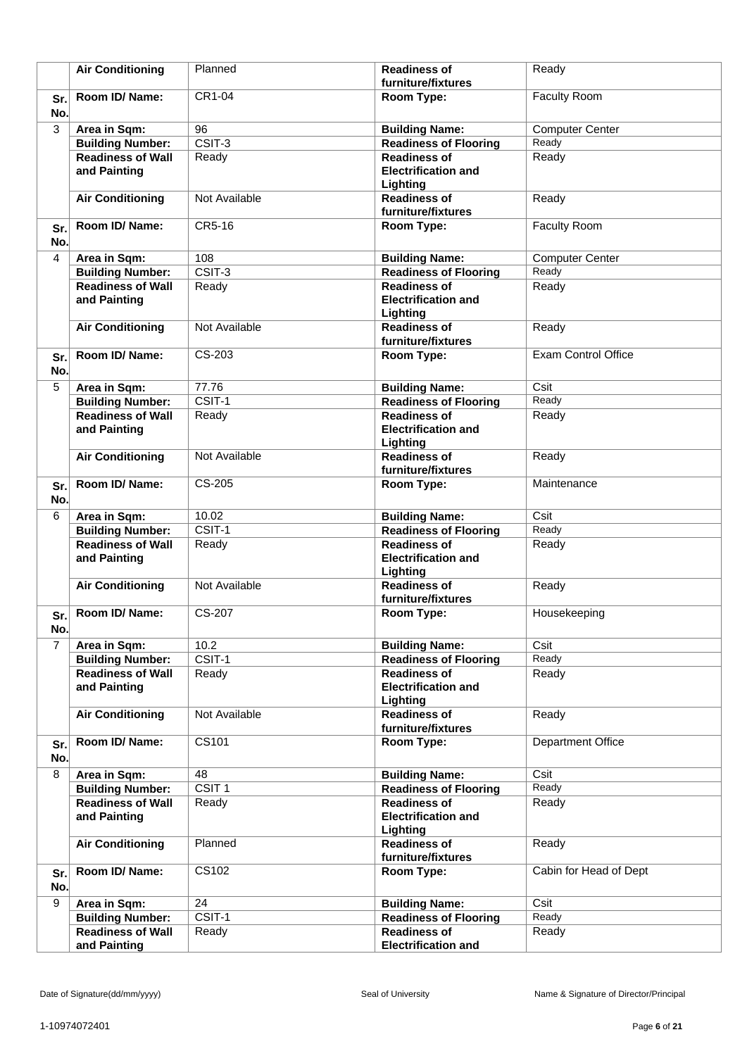|                | <b>Air Conditioning</b>                             | Planned                   | <b>Readiness of</b><br>furniture/fixtures                     | Ready                       |
|----------------|-----------------------------------------------------|---------------------------|---------------------------------------------------------------|-----------------------------|
| Sr.<br>No.     | Room ID/ Name:                                      | CR1-04                    | Room Type:                                                    | Faculty Room                |
| 3              | Area in Sqm:                                        | 96                        | <b>Building Name:</b>                                         | <b>Computer Center</b>      |
|                | <b>Building Number:</b>                             | $\overline{CSIT-3}$       | <b>Readiness of Flooring</b>                                  | Ready                       |
|                | <b>Readiness of Wall</b><br>and Painting            | Ready                     | <b>Readiness of</b><br><b>Electrification and</b><br>Lighting | Ready                       |
|                | <b>Air Conditioning</b>                             | Not Available             | <b>Readiness of</b><br>furniture/fixtures                     | Ready                       |
| Sr.<br>No.     | Room ID/Name:                                       | CR5-16                    | Room Type:                                                    | <b>Faculty Room</b>         |
| $\overline{4}$ | Area in Sqm:                                        | 108                       | <b>Building Name:</b>                                         | <b>Computer Center</b>      |
|                | <b>Building Number:</b>                             | $\overline{CSIT-3}$       | <b>Readiness of Flooring</b>                                  | Ready                       |
|                | <b>Readiness of Wall</b><br>and Painting            | Ready                     | <b>Readiness of</b><br><b>Electrification and</b><br>Lighting | Ready                       |
|                | <b>Air Conditioning</b>                             | Not Available             | <b>Readiness of</b><br>furniture/fixtures                     | Ready                       |
| Sr.<br>No.     | Room ID/Name:                                       | CS-203                    | Room Type:                                                    | <b>Exam Control Office</b>  |
| 5              | Area in Sqm:                                        | 77.76                     | <b>Building Name:</b>                                         | Csit                        |
|                | <b>Building Number:</b>                             | $\overline{CSIT-1}$       | <b>Readiness of Flooring</b>                                  | Ready                       |
|                | <b>Readiness of Wall</b><br>and Painting            | Ready                     | <b>Readiness of</b><br><b>Electrification and</b><br>Lighting | Ready                       |
|                | <b>Air Conditioning</b>                             | Not Available             | <b>Readiness of</b><br>furniture/fixtures                     | Ready                       |
| Sr.<br>No.     | Room ID/ Name:                                      | CS-205                    | Room Type:                                                    | Maintenance                 |
| 6              | Area in Sqm:                                        | 10.02                     | <b>Building Name:</b>                                         | Csit                        |
|                | <b>Building Number:</b>                             | $\overline{CSIT-1}$       | <b>Readiness of Flooring</b>                                  | Ready                       |
|                | <b>Readiness of Wall</b><br>and Painting            | Ready                     | <b>Readiness of</b><br><b>Electrification and</b><br>Lighting | Ready                       |
|                | <b>Air Conditioning</b>                             | Not Available             | <b>Readiness of</b><br>furniture/fixtures                     | Ready                       |
| Sr.<br>No.     | Room ID/ Name:                                      | CS-207                    | Room Type:                                                    | Housekeeping                |
| $\overline{7}$ | Area in Sqm:                                        | 10.2                      | <b>Building Name:</b>                                         | Csit                        |
|                | <b>Building Number:</b>                             | $CSIT-1$                  | <b>Readiness of Flooring</b>                                  | Ready                       |
|                | <b>Readiness of Wall</b><br>and Painting            | Ready                     | <b>Readiness of</b><br><b>Electrification and</b><br>Lighting | Ready                       |
|                | <b>Air Conditioning</b>                             | Not Available             | <b>Readiness of</b><br>furniture/fixtures                     | Ready                       |
| Sr.<br>No.     | Room ID/Name:                                       | CS101                     | Room Type:                                                    | Department Office           |
| 8              | Area in Sqm:                                        | 48                        | <b>Building Name:</b>                                         | $\overline{C}$ sit          |
|                | <b>Building Number:</b>                             | CSIT <sub>1</sub>         | <b>Readiness of Flooring</b>                                  | Ready                       |
|                | <b>Readiness of Wall</b><br>and Painting            | Ready                     | <b>Readiness of</b><br><b>Electrification and</b><br>Lighting | Ready                       |
|                | <b>Air Conditioning</b>                             | Planned                   | <b>Readiness of</b>                                           | Ready                       |
|                |                                                     |                           | furniture/fixtures                                            |                             |
| Sr.            | Room ID/Name:                                       | <b>CS102</b>              | Room Type:                                                    | Cabin for Head of Dept      |
| No.<br>9       |                                                     |                           |                                                               |                             |
|                | Area in Sqm:                                        | $\overline{24}$<br>CSIT-1 | <b>Building Name:</b>                                         | $\overline{C}$ sit<br>Ready |
|                | <b>Building Number:</b><br><b>Readiness of Wall</b> | Ready                     | <b>Readiness of Flooring</b><br><b>Readiness of</b>           | Ready                       |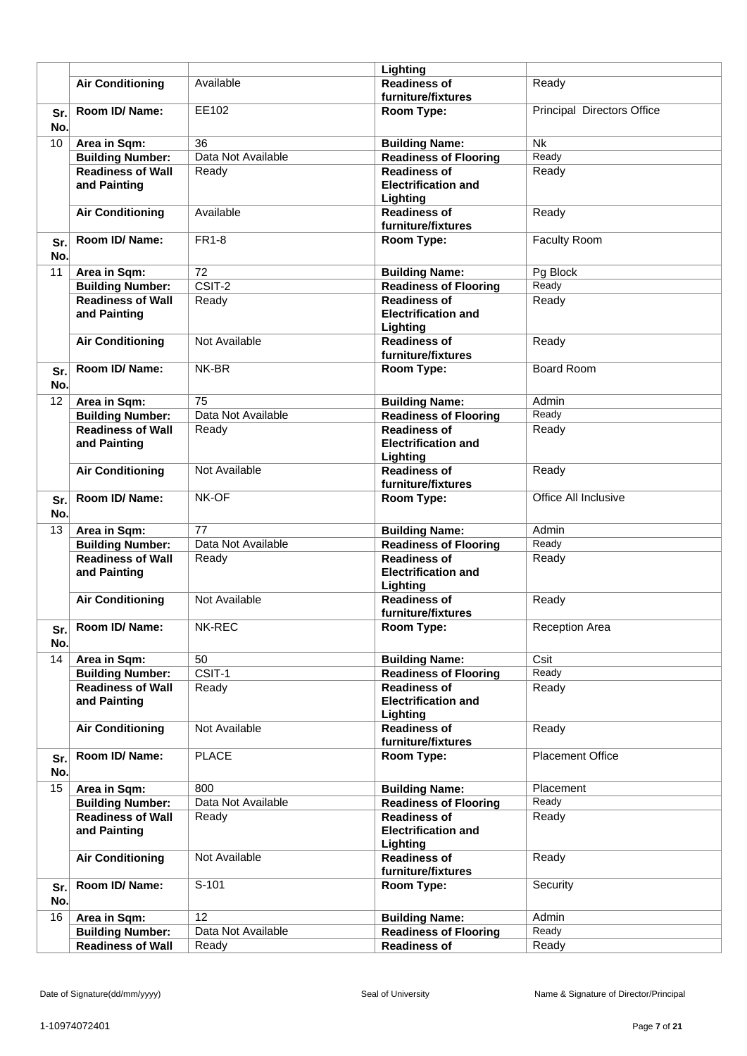|                 |                                          |                     | Lighting                                                      |                            |
|-----------------|------------------------------------------|---------------------|---------------------------------------------------------------|----------------------------|
|                 | <b>Air Conditioning</b>                  | Available           | <b>Readiness of</b><br>furniture/fixtures                     | Ready                      |
| Sr.<br>No.      | Room ID/Name:                            | EE102               | Room Type:                                                    | Principal Directors Office |
| 10              | Area in Sqm:                             | 36                  | <b>Building Name:</b>                                         | <b>Nk</b>                  |
|                 | <b>Building Number:</b>                  | Data Not Available  | <b>Readiness of Flooring</b>                                  | Ready                      |
|                 | <b>Readiness of Wall</b><br>and Painting | Ready               | <b>Readiness of</b><br><b>Electrification and</b><br>Lighting | Ready                      |
|                 | <b>Air Conditioning</b>                  | Available           | <b>Readiness of</b><br>furniture/fixtures                     | Ready                      |
| Sr.<br>No.      | Room ID/Name:                            | <b>FR1-8</b>        | Room Type:                                                    | <b>Faculty Room</b>        |
| 11              | Area in Sqm:                             | $\overline{72}$     | <b>Building Name:</b>                                         | Pg Block                   |
|                 | <b>Building Number:</b>                  | $\overline{CSIT-2}$ | <b>Readiness of Flooring</b>                                  | Ready                      |
|                 | <b>Readiness of Wall</b><br>and Painting | Ready               | <b>Readiness of</b><br><b>Electrification and</b><br>Lighting | Ready                      |
|                 | <b>Air Conditioning</b>                  | Not Available       | <b>Readiness of</b><br>furniture/fixtures                     | Ready                      |
| Sr.<br>No.      | Room ID/ Name:                           | NK-BR               | Room Type:                                                    | <b>Board Room</b>          |
| $\overline{12}$ | Area in Sqm:                             | 75                  | <b>Building Name:</b>                                         | Admin                      |
|                 | <b>Building Number:</b>                  | Data Not Available  | <b>Readiness of Flooring</b>                                  | Ready                      |
|                 | <b>Readiness of Wall</b><br>and Painting | Ready               | <b>Readiness of</b><br><b>Electrification and</b><br>Lighting | Ready                      |
|                 | <b>Air Conditioning</b>                  | Not Available       | <b>Readiness of</b><br>furniture/fixtures                     | Ready                      |
| Sr.<br>No.      | Room ID/Name:                            | NK-OF               | Room Type:                                                    | Office All Inclusive       |
| 13              | Area in Sqm:                             | 77                  | <b>Building Name:</b>                                         | Admin                      |
|                 | <b>Building Number:</b>                  | Data Not Available  | <b>Readiness of Flooring</b>                                  | Ready                      |
|                 | <b>Readiness of Wall</b>                 | Ready               | <b>Readiness of</b>                                           | Ready                      |
|                 | and Painting                             |                     | <b>Electrification and</b><br>Lighting                        |                            |
|                 | <b>Air Conditioning</b>                  | Not Available       | <b>Readiness of</b><br>furniture/fixtures                     | Ready                      |
| Sr.<br>No.      | Room ID/ Name:                           | NK-REC              | Room Type:                                                    | <b>Reception Area</b>      |
| 14              | Area in Sqm:                             | 50                  | <b>Building Name:</b>                                         | Csit                       |
|                 | <b>Building Number:</b>                  | CSIT-1              | <b>Readiness of Flooring</b>                                  | Ready                      |
|                 | <b>Readiness of Wall</b><br>and Painting | Ready               | <b>Readiness of</b><br><b>Electrification and</b><br>Lighting | Ready                      |
|                 | <b>Air Conditioning</b>                  | Not Available       | <b>Readiness of</b><br>furniture/fixtures                     | Ready                      |
| Sr.<br>No.      | Room ID/ Name:                           | <b>PLACE</b>        | Room Type:                                                    | Placement Office           |
| 15              | Area in Sqm:                             | 800                 | <b>Building Name:</b>                                         | Placement                  |
|                 | <b>Building Number:</b>                  | Data Not Available  | <b>Readiness of Flooring</b>                                  | Ready                      |
|                 | <b>Readiness of Wall</b>                 | Ready               | <b>Readiness of</b>                                           | Ready                      |
|                 | and Painting                             |                     | <b>Electrification and</b><br>Lighting                        |                            |
|                 | <b>Air Conditioning</b>                  | Not Available       | <b>Readiness of</b><br>furniture/fixtures                     | Ready                      |
| Sr.<br>No.      | Room ID/ Name:                           | S-101               | Room Type:                                                    | Security                   |
| 16              | Area in Sqm:                             | $\overline{12}$     | <b>Building Name:</b>                                         | Admin                      |
|                 | <b>Building Number:</b>                  | Data Not Available  | <b>Readiness of Flooring</b>                                  | Ready                      |
|                 | <b>Readiness of Wall</b>                 | Ready               | <b>Readiness of</b>                                           | Ready                      |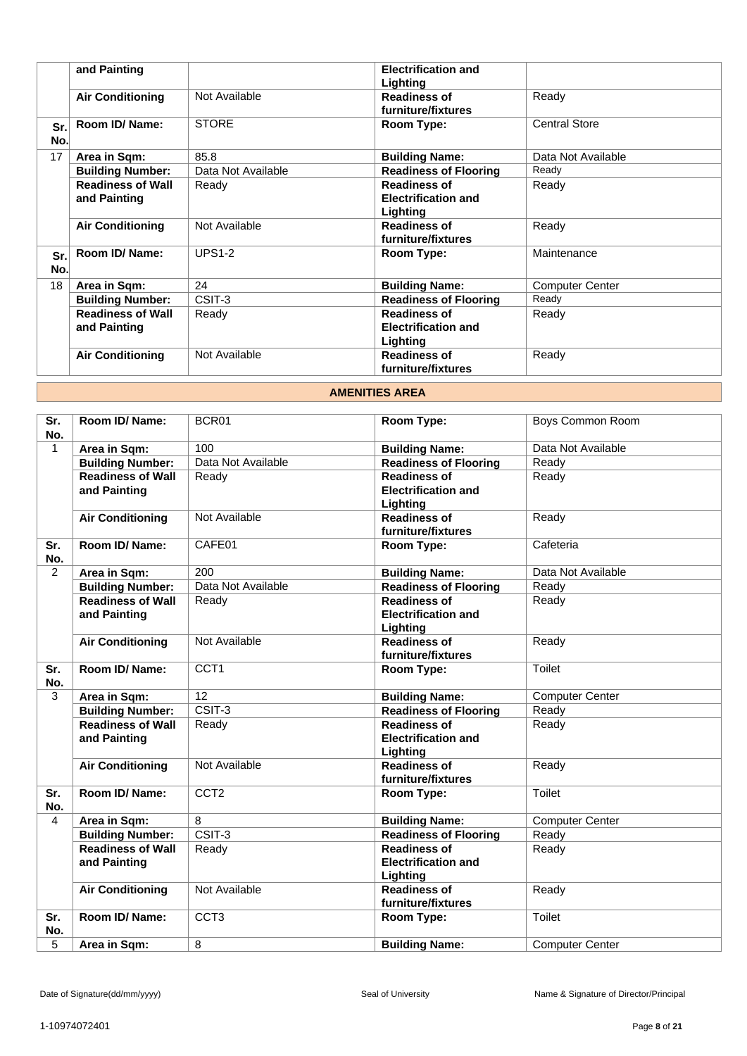|            | and Painting                             |                    | <b>Electrification and</b><br>Lighting                        |                        |
|------------|------------------------------------------|--------------------|---------------------------------------------------------------|------------------------|
|            | <b>Air Conditioning</b>                  | Not Available      | <b>Readiness of</b><br>furniture/fixtures                     | Ready                  |
| Sr.<br>No. | Room ID/Name:                            | <b>STORE</b>       | Room Type:                                                    | <b>Central Store</b>   |
| 17         | Area in Sqm:                             | 85.8               | <b>Building Name:</b>                                         | Data Not Available     |
|            | <b>Building Number:</b>                  | Data Not Available | <b>Readiness of Flooring</b>                                  | Ready                  |
|            | <b>Readiness of Wall</b><br>and Painting | Ready              | <b>Readiness of</b><br><b>Electrification and</b><br>Lighting | Ready                  |
|            | <b>Air Conditioning</b>                  | Not Available      | <b>Readiness of</b><br>furniture/fixtures                     | Ready                  |
| Sr.<br>No. | Room ID/ Name:                           | <b>UPS1-2</b>      | Room Type:                                                    | Maintenance            |
| 18         | Area in Sqm:                             | 24                 | <b>Building Name:</b>                                         | <b>Computer Center</b> |
|            | <b>Building Number:</b>                  | CSIT-3             | <b>Readiness of Flooring</b>                                  | Ready                  |
|            | <b>Readiness of Wall</b><br>and Painting | Ready              | <b>Readiness of</b><br><b>Electrification and</b><br>Lighting | Ready                  |
|            | <b>Air Conditioning</b>                  | Not Available      | <b>Readiness of</b><br>furniture/fixtures                     | Ready                  |

# **AMENITIES AREA**

| Sr.<br>No.     | Room ID/ Name:                           | BCR01               | Room Type:                                                    | Boys Common Room       |
|----------------|------------------------------------------|---------------------|---------------------------------------------------------------|------------------------|
| $\mathbf{1}$   | Area in Sqm:                             | 100                 | <b>Building Name:</b>                                         | Data Not Available     |
|                | <b>Building Number:</b>                  | Data Not Available  | <b>Readiness of Flooring</b>                                  | Ready                  |
|                | <b>Readiness of Wall</b><br>and Painting | Ready               | <b>Readiness of</b><br><b>Electrification and</b><br>Lighting | Ready                  |
|                | <b>Air Conditioning</b>                  | Not Available       | <b>Readiness of</b><br>furniture/fixtures                     | Ready                  |
| Sr.<br>No.     | Room ID/Name:                            | CAFE01              | Room Type:                                                    | Cafeteria              |
| $\overline{2}$ | Area in Sqm:                             | 200                 | <b>Building Name:</b>                                         | Data Not Available     |
|                | <b>Building Number:</b>                  | Data Not Available  | <b>Readiness of Flooring</b>                                  | Ready                  |
|                | <b>Readiness of Wall</b><br>and Painting | Ready               | <b>Readiness of</b><br><b>Electrification and</b><br>Lighting | Ready                  |
|                | <b>Air Conditioning</b>                  | Not Available       | <b>Readiness of</b><br>furniture/fixtures                     | Ready                  |
| Sr.<br>No.     | Room ID/ Name:                           | CCT <sub>1</sub>    | Room Type:                                                    | Toilet                 |
| 3              | Area in Sqm:                             | 12                  | <b>Building Name:</b>                                         | <b>Computer Center</b> |
|                | <b>Building Number:</b>                  | CSIT-3              | <b>Readiness of Flooring</b>                                  | Ready                  |
|                | <b>Readiness of Wall</b><br>and Painting | Ready               | <b>Readiness of</b><br><b>Electrification and</b><br>Lighting | Ready                  |
|                | <b>Air Conditioning</b>                  | Not Available       | <b>Readiness of</b><br>furniture/fixtures                     | Ready                  |
| Sr.<br>No.     | Room ID/ Name:                           | CCT <sub>2</sub>    | Room Type:                                                    | Toilet                 |
| 4              | Area in Sqm:                             | 8                   | <b>Building Name:</b>                                         | <b>Computer Center</b> |
|                | <b>Building Number:</b>                  | $\overline{CSIT-3}$ | <b>Readiness of Flooring</b>                                  | Ready                  |
|                | <b>Readiness of Wall</b><br>and Painting | Ready               | <b>Readiness of</b><br><b>Electrification and</b><br>Lighting | Ready                  |
|                | <b>Air Conditioning</b>                  | Not Available       | <b>Readiness of</b><br>furniture/fixtures                     | Ready                  |
| Sr.<br>No.     | Room ID/Name:                            | CCT <sub>3</sub>    | Room Type:                                                    | <b>Toilet</b>          |
| 5              | Area in Sqm:                             | 8                   | <b>Building Name:</b>                                         | <b>Computer Center</b> |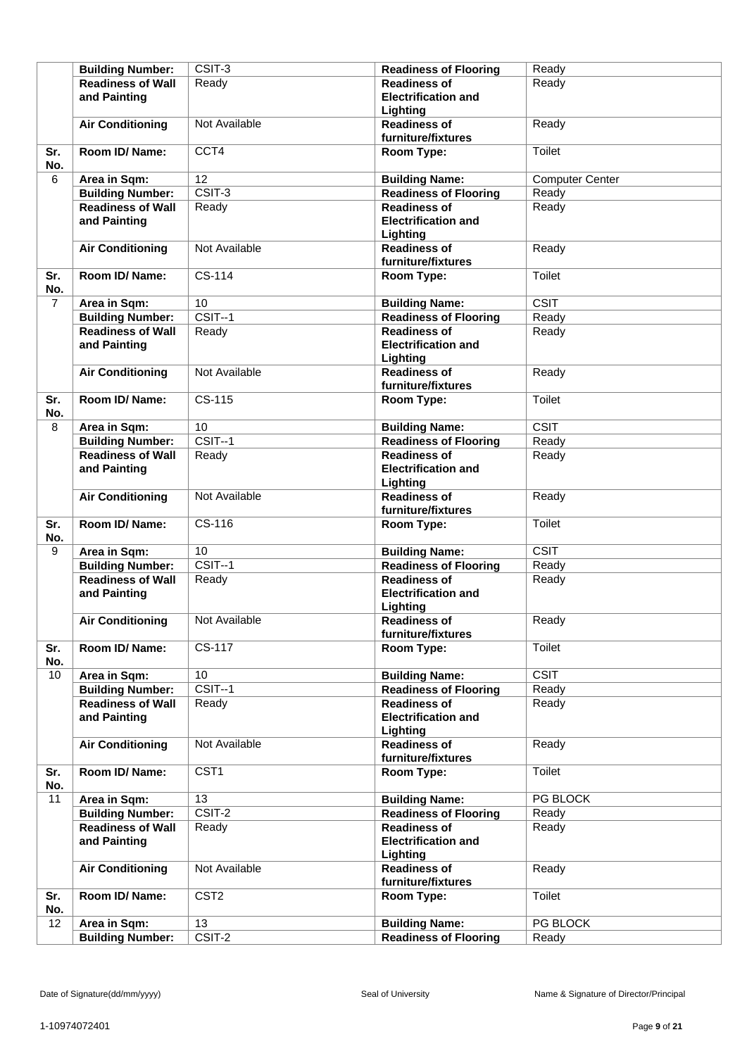|                | <b>Building Number:</b>                             | CSIT-3                     | <b>Readiness of Flooring</b>                          | Ready                  |
|----------------|-----------------------------------------------------|----------------------------|-------------------------------------------------------|------------------------|
|                | <b>Readiness of Wall</b>                            | Ready                      | <b>Readiness of</b>                                   | Ready                  |
|                | and Painting                                        |                            | <b>Electrification and</b>                            |                        |
|                |                                                     |                            | Lighting                                              |                        |
|                | <b>Air Conditioning</b>                             | Not Available              | <b>Readiness of</b>                                   | Ready                  |
|                |                                                     |                            | furniture/fixtures                                    |                        |
| Sr.<br>No.     | Room ID/ Name:                                      | CCT4                       | Room Type:                                            | Toilet                 |
| 6              | Area in Sqm:                                        | $\overline{12}$            | <b>Building Name:</b>                                 | <b>Computer Center</b> |
|                | <b>Building Number:</b>                             | CSIT-3                     | <b>Readiness of Flooring</b>                          | Ready                  |
|                | <b>Readiness of Wall</b>                            | Ready                      | <b>Readiness of</b>                                   | Ready                  |
|                | and Painting                                        |                            | <b>Electrification and</b>                            |                        |
|                |                                                     |                            | Lighting                                              |                        |
|                | <b>Air Conditioning</b>                             | Not Available              | <b>Readiness of</b>                                   | Ready                  |
|                |                                                     |                            | furniture/fixtures                                    |                        |
| Sr.            | Room ID/Name:                                       | CS-114                     | Room Type:                                            | Toilet                 |
| No.            |                                                     |                            |                                                       |                        |
| $\overline{7}$ | Area in Sqm:                                        | 10                         | <b>Building Name:</b>                                 | CSIT                   |
|                | <b>Building Number:</b>                             | $CSIT-1$                   | <b>Readiness of Flooring</b>                          | Ready                  |
|                | <b>Readiness of Wall</b>                            | Ready                      | <b>Readiness of</b>                                   | Ready                  |
|                | and Painting                                        |                            | <b>Electrification and</b>                            |                        |
|                |                                                     |                            | Lighting                                              |                        |
|                | <b>Air Conditioning</b>                             | Not Available              | <b>Readiness of</b>                                   | Ready                  |
|                |                                                     |                            | furniture/fixtures                                    |                        |
| Sr.            | Room ID/ Name:                                      | CS-115                     | Room Type:                                            | Toilet                 |
| No.            |                                                     |                            |                                                       |                        |
| 8              | Area in Sqm:                                        | 10                         | <b>Building Name:</b>                                 | CSIT                   |
|                | <b>Building Number:</b>                             | $CSIT-1$                   | <b>Readiness of Flooring</b>                          | Ready                  |
|                | <b>Readiness of Wall</b>                            | Ready                      | <b>Readiness of</b>                                   | Ready                  |
|                | and Painting                                        |                            | <b>Electrification and</b>                            |                        |
|                |                                                     |                            | Lighting                                              |                        |
|                | <b>Air Conditioning</b>                             | Not Available              | <b>Readiness of</b>                                   | Ready                  |
|                |                                                     |                            | furniture/fixtures                                    |                        |
| Sr.            | Room ID/Name:                                       | CS-116                     | Room Type:                                            | Toilet                 |
| No.<br>9       |                                                     | 10                         |                                                       | <b>CSIT</b>            |
|                | Area in Sqm:                                        | $CSIT-1$                   | <b>Building Name:</b><br><b>Readiness of Flooring</b> | Ready                  |
|                | <b>Building Number:</b><br><b>Readiness of Wall</b> | Ready                      | <b>Readiness of</b>                                   | Ready                  |
|                | and Painting                                        |                            | <b>Electrification and</b>                            |                        |
|                |                                                     |                            | Lighting                                              |                        |
|                | <b>Air Conditioning</b>                             | Not Available              | <b>Readiness of</b>                                   | Ready                  |
|                |                                                     |                            | furniture/fixtures                                    |                        |
| Sr.            | Room ID/ Name:                                      | CS-117                     | Room Type:                                            | Toilet                 |
| No.            |                                                     |                            |                                                       |                        |
| 10             | Area in Sqm:                                        | 10                         | <b>Building Name:</b>                                 | <b>CSIT</b>            |
|                | <b>Building Number:</b>                             | $CSIT-1$                   | <b>Readiness of Flooring</b>                          | Ready                  |
|                | <b>Readiness of Wall</b>                            | Ready                      | <b>Readiness of</b>                                   | Ready                  |
|                | and Painting                                        |                            | <b>Electrification and</b>                            |                        |
|                |                                                     |                            | Lighting                                              |                        |
|                | <b>Air Conditioning</b>                             | Not Available              | <b>Readiness of</b>                                   | Ready                  |
|                |                                                     |                            | furniture/fixtures                                    |                        |
| Sr.            | Room ID/ Name:                                      | CST <sub>1</sub>           | Room Type:                                            | Toilet                 |
| No.            |                                                     |                            |                                                       |                        |
| 11             | Area in Sqm:                                        | 13                         | <b>Building Name:</b>                                 | PG BLOCK               |
|                | <b>Building Number:</b>                             | CSIT-2                     | <b>Readiness of Flooring</b>                          | Ready                  |
|                | <b>Readiness of Wall</b>                            | Ready                      | <b>Readiness of</b>                                   | Ready                  |
|                | and Painting                                        |                            | <b>Electrification and</b>                            |                        |
|                |                                                     |                            | Lighting                                              |                        |
|                | <b>Air Conditioning</b>                             | Not Available              | <b>Readiness of</b>                                   | Ready                  |
|                |                                                     | CST <sub>2</sub>           | furniture/fixtures                                    | Toilet                 |
| Sr.<br>No.     | Room ID/ Name:                                      |                            | Room Type:                                            |                        |
| 12             | Area in Sqm:                                        | $\overline{13}$            | <b>Building Name:</b>                                 | PG BLOCK               |
|                | <b>Building Number:</b>                             | $\overline{\text{CSIT-2}}$ | <b>Readiness of Flooring</b>                          | Ready                  |
|                |                                                     |                            |                                                       |                        |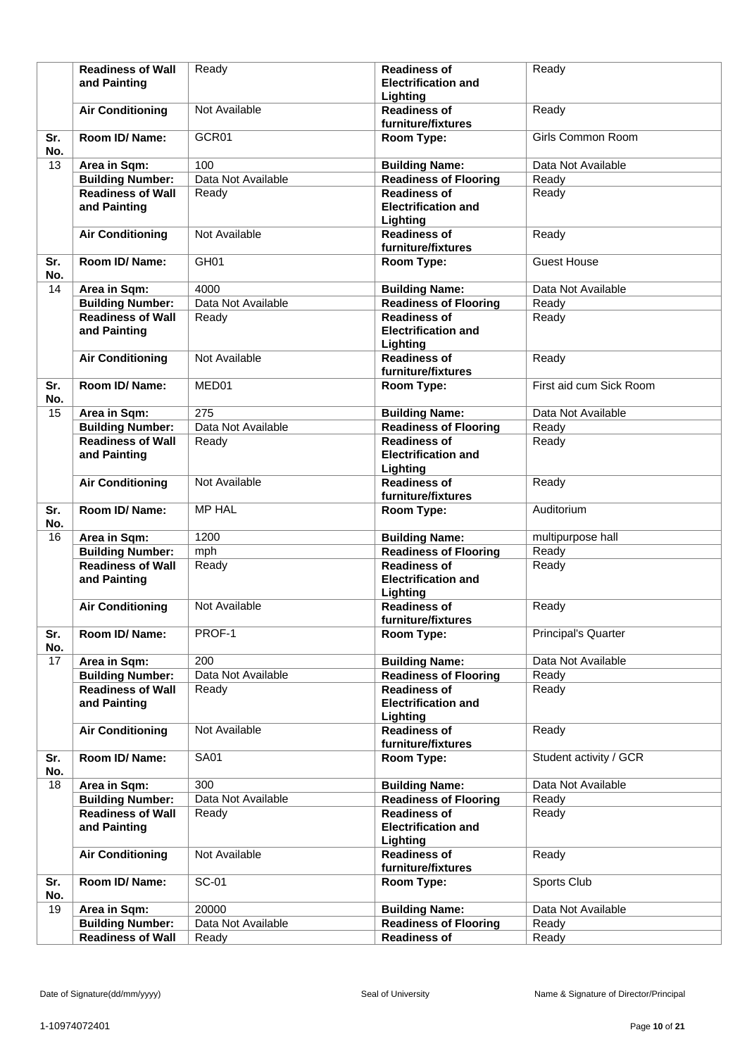|     | <b>Readiness of Wall</b> | Ready              | <b>Readiness of</b>          | Ready                      |
|-----|--------------------------|--------------------|------------------------------|----------------------------|
|     | and Painting             |                    | <b>Electrification and</b>   |                            |
|     |                          |                    | Lighting                     |                            |
|     |                          | Not Available      | <b>Readiness of</b>          |                            |
|     | <b>Air Conditioning</b>  |                    |                              | Ready                      |
|     |                          |                    | furniture/fixtures           |                            |
| Sr. | Room ID/Name:            | GCR01              | Room Type:                   | Girls Common Room          |
| No. |                          |                    |                              |                            |
| 13  | Area in Sqm:             | 100                | <b>Building Name:</b>        | Data Not Available         |
|     |                          |                    |                              |                            |
|     | <b>Building Number:</b>  | Data Not Available | <b>Readiness of Flooring</b> | Ready                      |
|     | <b>Readiness of Wall</b> | Ready              | <b>Readiness of</b>          | Ready                      |
|     | and Painting             |                    | <b>Electrification and</b>   |                            |
|     |                          |                    | Lighting                     |                            |
|     | <b>Air Conditioning</b>  | Not Available      | <b>Readiness of</b>          | Ready                      |
|     |                          |                    |                              |                            |
|     |                          |                    | furniture/fixtures           |                            |
| Sr. | Room ID/Name:            | GH <sub>01</sub>   | Room Type:                   | <b>Guest House</b>         |
| No. |                          |                    |                              |                            |
| 14  | Area in Sqm:             | 4000               | <b>Building Name:</b>        | Data Not Available         |
|     | <b>Building Number:</b>  | Data Not Available | <b>Readiness of Flooring</b> | Ready                      |
|     |                          |                    |                              |                            |
|     | <b>Readiness of Wall</b> | Ready              | <b>Readiness of</b>          | Ready                      |
|     | and Painting             |                    | <b>Electrification and</b>   |                            |
|     |                          |                    | Lighting                     |                            |
|     | <b>Air Conditioning</b>  | Not Available      | <b>Readiness of</b>          | Ready                      |
|     |                          |                    | furniture/fixtures           |                            |
|     |                          |                    |                              |                            |
| Sr. | Room ID/Name:            | MED01              | Room Type:                   | First aid cum Sick Room    |
| No. |                          |                    |                              |                            |
| 15  | Area in Sqm:             | $\overline{275}$   | <b>Building Name:</b>        | Data Not Available         |
|     | <b>Building Number:</b>  | Data Not Available | <b>Readiness of Flooring</b> | Ready                      |
|     |                          |                    |                              |                            |
|     | <b>Readiness of Wall</b> | Ready              | <b>Readiness of</b>          | Ready                      |
|     | and Painting             |                    | <b>Electrification and</b>   |                            |
|     |                          |                    | Lighting                     |                            |
|     | <b>Air Conditioning</b>  | Not Available      | <b>Readiness of</b>          | Ready                      |
|     |                          |                    | furniture/fixtures           |                            |
|     |                          |                    |                              |                            |
| Sr. | Room ID/Name:            | <b>MP HAL</b>      | Room Type:                   | Auditorium                 |
| No. |                          |                    |                              |                            |
| 16  | Area in Sqm:             | 1200               | <b>Building Name:</b>        | multipurpose hall          |
|     | <b>Building Number:</b>  | mph                | <b>Readiness of Flooring</b> | Ready                      |
|     | <b>Readiness of Wall</b> | Ready              | <b>Readiness of</b>          | Ready                      |
|     |                          |                    | <b>Electrification and</b>   |                            |
|     | and Painting             |                    |                              |                            |
|     |                          |                    | Lighting                     |                            |
|     | <b>Air Conditioning</b>  | Not Available      | <b>Readiness of</b>          | Ready                      |
|     |                          |                    | furniture/fixtures           |                            |
| Sr. | Room ID/ Name:           | PROF-1             | Room Type:                   | <b>Principal's Quarter</b> |
| No. |                          |                    |                              |                            |
|     |                          |                    |                              |                            |
| 17  | Area in Sqm:             | 200                | <b>Building Name:</b>        | Data Not Available         |
|     | <b>Building Number:</b>  | Data Not Available | <b>Readiness of Flooring</b> | Ready                      |
|     | <b>Readiness of Wall</b> | Ready              | <b>Readiness of</b>          | Ready                      |
|     | and Painting             |                    | <b>Electrification and</b>   |                            |
|     |                          |                    | Lighting                     |                            |
|     |                          |                    | <b>Readiness of</b>          |                            |
|     | <b>Air Conditioning</b>  | Not Available      |                              | Ready                      |
|     |                          |                    | furniture/fixtures           |                            |
| Sr. | Room ID/ Name:           | <b>SA01</b>        | Room Type:                   | Student activity / GCR     |
| No. |                          |                    |                              |                            |
| 18  | Area in Sqm:             | 300                | <b>Building Name:</b>        | Data Not Available         |
|     | <b>Building Number:</b>  | Data Not Available | <b>Readiness of Flooring</b> | Ready                      |
|     |                          |                    |                              |                            |
|     | <b>Readiness of Wall</b> | Ready              | <b>Readiness of</b>          | Ready                      |
|     | and Painting             |                    | <b>Electrification and</b>   |                            |
|     |                          |                    | Lighting                     |                            |
|     | <b>Air Conditioning</b>  | Not Available      | <b>Readiness of</b>          | Ready                      |
|     |                          |                    | furniture/fixtures           |                            |
|     |                          |                    |                              |                            |
| Sr. | Room ID/ Name:           | <b>SC-01</b>       | Room Type:                   | Sports Club                |
| No. |                          |                    |                              |                            |
| 19  | Area in Sqm:             | 20000              | <b>Building Name:</b>        | Data Not Available         |
|     | <b>Building Number:</b>  | Data Not Available | <b>Readiness of Flooring</b> | Ready                      |
|     |                          |                    |                              | Ready                      |
|     | <b>Readiness of Wall</b> | Ready              | <b>Readiness of</b>          |                            |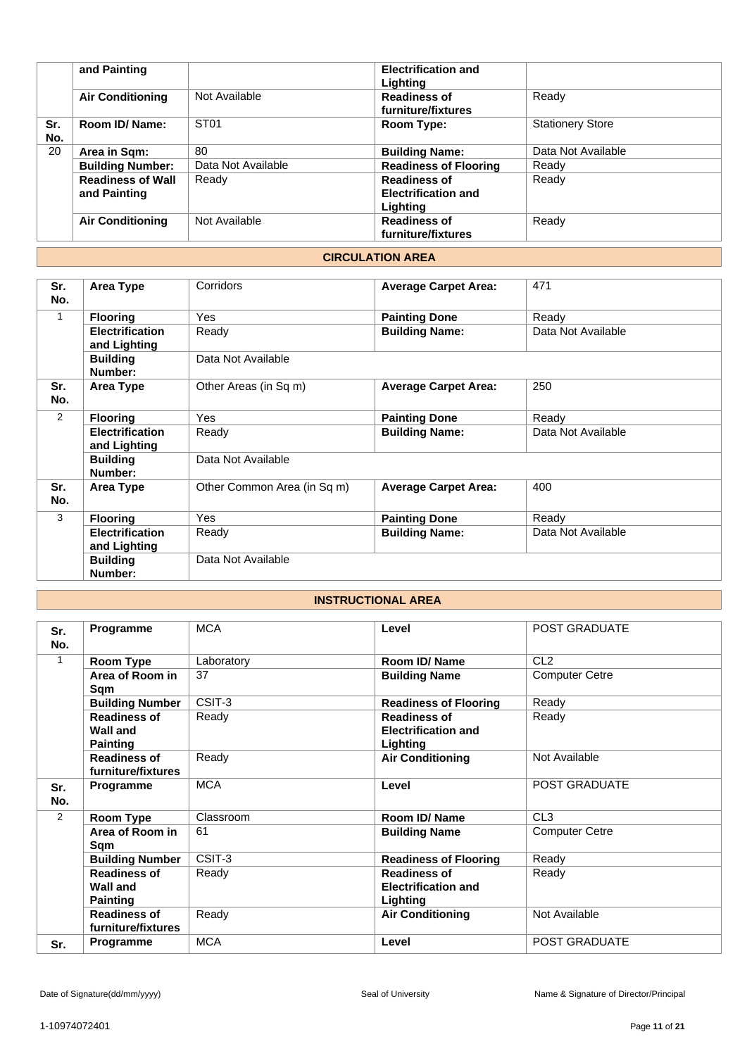|     | and Painting             |                    | <b>Electrification and</b>   |                         |
|-----|--------------------------|--------------------|------------------------------|-------------------------|
|     |                          |                    | Lighting                     |                         |
|     | <b>Air Conditioning</b>  | Not Available      | <b>Readiness of</b>          | Ready                   |
|     |                          |                    | furniture/fixtures           |                         |
| Sr. | Room ID/ Name:           | ST <sub>01</sub>   | Room Type:                   | <b>Stationery Store</b> |
| No. |                          |                    |                              |                         |
| 20  | Area in Sqm:             | 80                 | <b>Building Name:</b>        | Data Not Available      |
|     | <b>Building Number:</b>  | Data Not Available | <b>Readiness of Flooring</b> | Ready                   |
|     | <b>Readiness of Wall</b> | Ready              | <b>Readiness of</b>          | Ready                   |
|     | and Painting             |                    | <b>Electrification and</b>   |                         |
|     |                          |                    | Lighting                     |                         |
|     | <b>Air Conditioning</b>  | Not Available      | <b>Readiness of</b>          | Ready                   |
|     |                          |                    | furniture/fixtures           |                         |
|     |                          |                    |                              |                         |

# **CIRCULATION AREA**

| Sr.<br>No.     | Area Type                              | Corridors                   | <b>Average Carpet Area:</b> | 471                |  |
|----------------|----------------------------------------|-----------------------------|-----------------------------|--------------------|--|
| 1              | <b>Flooring</b>                        | <b>Yes</b>                  | <b>Painting Done</b>        | Ready              |  |
|                | <b>Electrification</b><br>and Lighting | Ready                       | <b>Building Name:</b>       | Data Not Available |  |
|                | <b>Building</b><br>Number:             | Data Not Available          |                             |                    |  |
| Sr.<br>No.     | Area Type                              | Other Areas (in Sq m)       | <b>Average Carpet Area:</b> | 250                |  |
| $\overline{2}$ | <b>Flooring</b>                        | <b>Yes</b>                  | <b>Painting Done</b>        | Ready              |  |
|                | <b>Electrification</b><br>and Lighting | Ready                       | <b>Building Name:</b>       | Data Not Available |  |
|                | <b>Building</b><br>Number:             | Data Not Available          |                             |                    |  |
| Sr.<br>No.     | Area Type                              | Other Common Area (in Sq m) | <b>Average Carpet Area:</b> | 400                |  |
| 3              | <b>Flooring</b>                        | <b>Yes</b>                  | <b>Painting Done</b>        | Ready              |  |
|                | <b>Electrification</b><br>and Lighting | Ready                       | <b>Building Name:</b>       | Data Not Available |  |
|                | <b>Building</b><br>Number:             | Data Not Available          |                             |                    |  |

# **INSTRUCTIONAL AREA**

| Sr.<br>No.     | Programme              | <b>MCA</b> | Level                        | POST GRADUATE         |
|----------------|------------------------|------------|------------------------------|-----------------------|
| 1              | Room Type              | Laboratory | Room ID/Name                 | CL <sub>2</sub>       |
|                | Area of Room in        | 37         | <b>Building Name</b>         | <b>Computer Cetre</b> |
|                | Sam                    |            |                              |                       |
|                | <b>Building Number</b> | CSIT-3     | <b>Readiness of Flooring</b> | Ready                 |
|                | <b>Readiness of</b>    | Ready      | <b>Readiness of</b>          | Ready                 |
|                | <b>Wall and</b>        |            | <b>Electrification and</b>   |                       |
|                | <b>Painting</b>        |            | Lighting                     |                       |
|                | <b>Readiness of</b>    | Ready      | <b>Air Conditioning</b>      | Not Available         |
|                | furniture/fixtures     |            |                              |                       |
| Sr.<br>No.     | Programme              | <b>MCA</b> | Level                        | <b>POST GRADUATE</b>  |
| $\overline{2}$ | <b>Room Type</b>       | Classroom  | Room ID/Name                 | CL3                   |
|                | Area of Room in        | 61         | <b>Building Name</b>         | <b>Computer Cetre</b> |
|                | Sqm                    |            |                              |                       |
|                | <b>Building Number</b> | CSIT-3     | <b>Readiness of Flooring</b> | Ready                 |
|                | <b>Readiness of</b>    | Ready      | <b>Readiness of</b>          | Ready                 |
|                | Wall and               |            | <b>Electrification and</b>   |                       |
|                | <b>Painting</b>        |            | Lighting                     |                       |
|                | <b>Readiness of</b>    | Ready      | <b>Air Conditioning</b>      | Not Available         |
|                | furniture/fixtures     |            |                              |                       |
| Sr.            | Programme              | <b>MCA</b> | Level                        | <b>POST GRADUATE</b>  |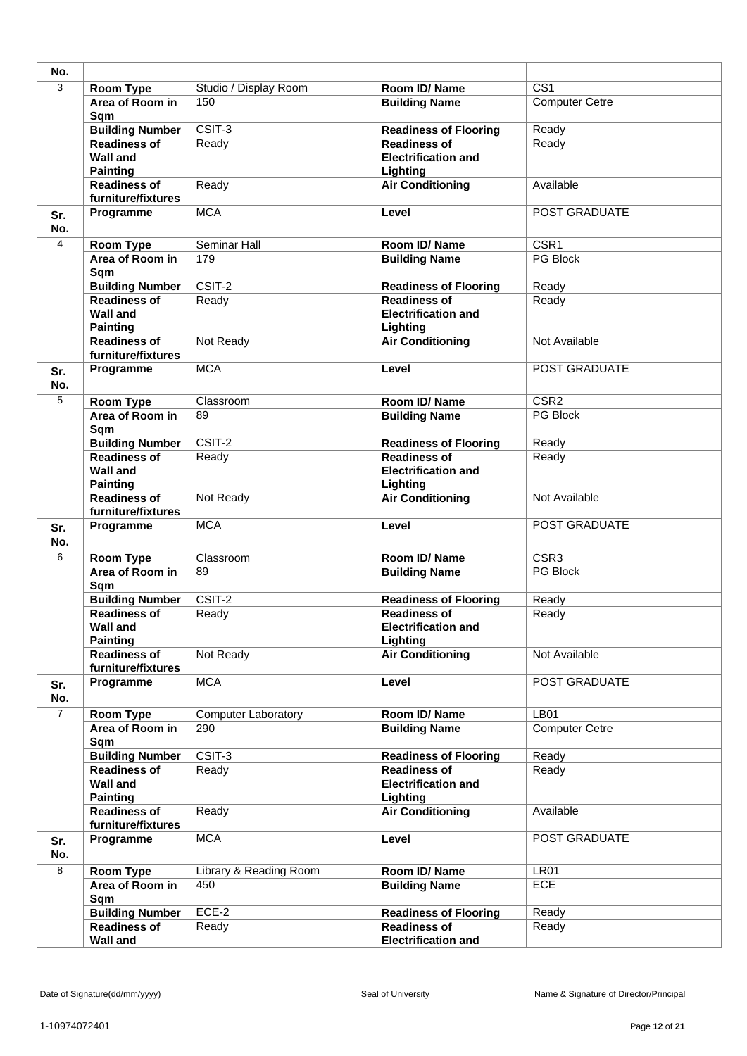| No.            |                                                           |                            |                                                               |                       |
|----------------|-----------------------------------------------------------|----------------------------|---------------------------------------------------------------|-----------------------|
| 3              | <b>Room Type</b>                                          | Studio / Display Room      | Room ID/Name                                                  | $\overline{CS1}$      |
|                | Area of Room in<br>Sqm                                    | 150                        | <b>Building Name</b>                                          | <b>Computer Cetre</b> |
|                | <b>Building Number</b>                                    | CSIT-3                     | <b>Readiness of Flooring</b>                                  | Ready                 |
|                | <b>Readiness of</b><br><b>Wall and</b><br><b>Painting</b> | Ready                      | <b>Readiness of</b><br><b>Electrification and</b><br>Lighting | Ready                 |
|                | <b>Readiness of</b><br>furniture/fixtures                 | Ready                      | <b>Air Conditioning</b>                                       | Available             |
| Sr.<br>No.     | Programme                                                 | <b>MCA</b>                 | Level                                                         | POST GRADUATE         |
| 4              | Room Type                                                 | Seminar Hall               | Room ID/Name                                                  | $\overline{CSR1}$     |
|                | Area of Room in<br>Sqm                                    | 179                        | <b>Building Name</b>                                          | PG Block              |
|                | <b>Building Number</b>                                    | $\overline{CSIT-2}$        | <b>Readiness of Flooring</b>                                  | Ready                 |
|                | <b>Readiness of</b><br><b>Wall and</b><br><b>Painting</b> | Ready                      | <b>Readiness of</b><br><b>Electrification and</b><br>Lighting | Ready                 |
|                | <b>Readiness of</b><br>furniture/fixtures                 | Not Ready                  | <b>Air Conditioning</b>                                       | Not Available         |
| Sr.<br>No.     | Programme                                                 | <b>MCA</b>                 | Level                                                         | POST GRADUATE         |
| 5              | Room Type                                                 | Classroom                  | Room ID/Name                                                  | CSR <sub>2</sub>      |
|                | Area of Room in<br>Sqm                                    | 89                         | <b>Building Name</b>                                          | <b>PG Block</b>       |
|                | <b>Building Number</b>                                    | CSIT-2                     | <b>Readiness of Flooring</b>                                  | Ready                 |
|                | <b>Readiness of</b><br><b>Wall and</b><br><b>Painting</b> | Ready                      | <b>Readiness of</b><br><b>Electrification and</b><br>Lighting | Ready                 |
|                | <b>Readiness of</b><br>furniture/fixtures                 | Not Ready                  | <b>Air Conditioning</b>                                       | Not Available         |
| Sr.<br>No.     | Programme                                                 | <b>MCA</b>                 | Level                                                         | POST GRADUATE         |
| 6              | <b>Room Type</b>                                          | Classroom                  | Room ID/Name                                                  | CSR <sub>3</sub>      |
|                | Area of Room in<br>Sqm                                    | 89                         | <b>Building Name</b>                                          | PG Block              |
|                | <b>Building Number</b>                                    | CSIT-2                     | <b>Readiness of Flooring</b>                                  | Ready                 |
|                | <b>Readiness of</b><br>Wall and<br><b>Painting</b>        | Ready                      | <b>Readiness of</b><br><b>Electrification and</b><br>Lighting | Ready                 |
|                | <b>Readiness of</b><br>furniture/fixtures                 | Not Ready                  | <b>Air Conditioning</b>                                       | Not Available         |
| Sr.<br>No.     | Programme                                                 | <b>MCA</b>                 | Level                                                         | POST GRADUATE         |
| $\overline{7}$ | Room Type                                                 | <b>Computer Laboratory</b> | Room ID/Name                                                  | LB01                  |
|                | Area of Room in<br>Sqm                                    | 290                        | <b>Building Name</b>                                          | <b>Computer Cetre</b> |
|                | <b>Building Number</b>                                    | CSIT-3                     | <b>Readiness of Flooring</b>                                  | Ready                 |
|                | <b>Readiness of</b><br><b>Wall and</b><br><b>Painting</b> | Ready                      | <b>Readiness of</b><br><b>Electrification and</b><br>Lighting | Ready                 |
|                | <b>Readiness of</b><br>furniture/fixtures                 | Ready                      | <b>Air Conditioning</b>                                       | Available             |
| Sr.<br>No.     | Programme                                                 | <b>MCA</b>                 | Level                                                         | POST GRADUATE         |
| 8              | Room Type                                                 | Library & Reading Room     | Room ID/Name                                                  | <b>LR01</b>           |
|                | Area of Room in<br>Sqm                                    | 450                        | <b>Building Name</b>                                          | <b>ECE</b>            |
|                | <b>Building Number</b>                                    | $ECE-2$                    | <b>Readiness of Flooring</b>                                  | Ready                 |
|                | <b>Readiness of</b><br><b>Wall and</b>                    | Ready                      | <b>Readiness of</b><br><b>Electrification and</b>             | Ready                 |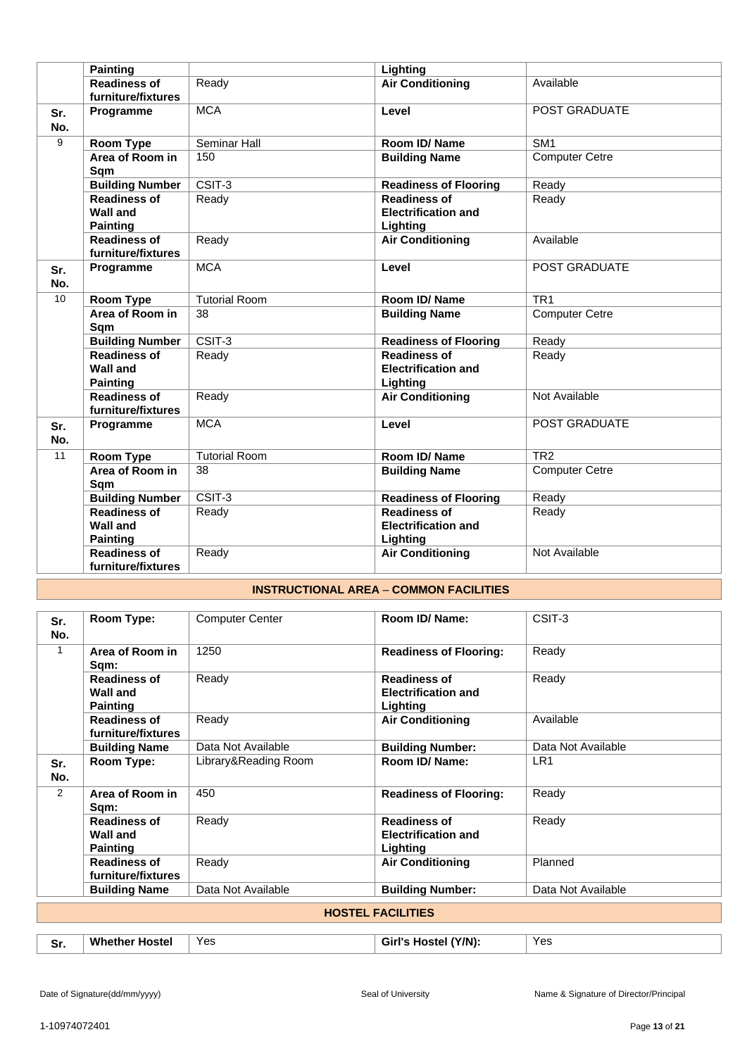|            | <b>Painting</b>                                           |                      | Lighting                                                      |                       |
|------------|-----------------------------------------------------------|----------------------|---------------------------------------------------------------|-----------------------|
|            | <b>Readiness of</b><br>furniture/fixtures                 | Ready                | <b>Air Conditioning</b>                                       | Available             |
| Sr.<br>No. | Programme                                                 | <b>MCA</b>           | Level                                                         | POST GRADUATE         |
| 9          | Room Type                                                 | Seminar Hall         | Room ID/ Name                                                 | SM <sub>1</sub>       |
|            | Area of Room in<br>Sqm                                    | 150                  | <b>Building Name</b>                                          | <b>Computer Cetre</b> |
|            | <b>Building Number</b>                                    | $\overline{CSIT-3}$  | <b>Readiness of Flooring</b>                                  | Ready                 |
|            | <b>Readiness of</b><br><b>Wall and</b><br><b>Painting</b> | Ready                | <b>Readiness of</b><br><b>Electrification and</b><br>Lighting | Ready                 |
|            | <b>Readiness of</b><br>furniture/fixtures                 | Ready                | <b>Air Conditioning</b>                                       | Available             |
| Sr.<br>No. | Programme                                                 | <b>MCA</b>           | Level                                                         | <b>POST GRADUATE</b>  |
| 10         | <b>Room Type</b>                                          | <b>Tutorial Room</b> | Room ID/Name                                                  | TR <sub>1</sub>       |
|            | Area of Room in<br>Sqm                                    | 38                   | <b>Building Name</b>                                          | <b>Computer Cetre</b> |
|            | <b>Building Number</b>                                    | $\overline{CSIT-3}$  | <b>Readiness of Flooring</b>                                  | Ready                 |
|            | <b>Readiness of</b><br><b>Wall and</b><br><b>Painting</b> | Ready                | <b>Readiness of</b><br><b>Electrification and</b><br>Lighting | Ready                 |
|            | <b>Readiness of</b><br>furniture/fixtures                 | Ready                | <b>Air Conditioning</b>                                       | Not Available         |
| Sr.<br>No. | Programme                                                 | <b>MCA</b>           | Level                                                         | POST GRADUATE         |
| 11         | Room Type                                                 | <b>Tutorial Room</b> | Room ID/Name                                                  | TR <sub>2</sub>       |
|            | Area of Room in<br>Sqm                                    | 38                   | <b>Building Name</b>                                          | <b>Computer Cetre</b> |
|            | <b>Building Number</b>                                    | CSIT-3               | <b>Readiness of Flooring</b>                                  | Ready                 |
|            | <b>Readiness of</b><br><b>Wall and</b><br><b>Painting</b> | Ready                | <b>Readiness of</b><br><b>Electrification and</b><br>Lighting | Ready                 |
|            | <b>Readiness of</b><br>furniture/fixtures                 | Ready                | <b>Air Conditioning</b>                                       | Not Available         |

# **INSTRUCTIONAL AREA** – **COMMON FACILITIES**

| Sr.<br>No.   | Room Type:                                                | <b>Computer Center</b> | Room ID/ Name:                                                | CSIT-3             |
|--------------|-----------------------------------------------------------|------------------------|---------------------------------------------------------------|--------------------|
| $\mathbf{1}$ | Area of Room in<br>Sqm:                                   | 1250                   | <b>Readiness of Flooring:</b>                                 | Ready              |
|              | <b>Readiness of</b><br><b>Wall and</b><br><b>Painting</b> | Ready                  | <b>Readiness of</b><br><b>Electrification and</b><br>Lighting | Ready              |
|              | <b>Readiness of</b><br>furniture/fixtures                 | Ready                  | <b>Air Conditioning</b>                                       | Available          |
|              | <b>Building Name</b>                                      | Data Not Available     | <b>Building Number:</b>                                       | Data Not Available |
| Sr.<br>No.   | Room Type:                                                | Library&Reading Room   | Room ID/ Name:                                                | LR <sub>1</sub>    |
| 2            | Area of Room in<br>Sqm:                                   | 450                    | <b>Readiness of Flooring:</b>                                 | Ready              |
|              | <b>Readiness of</b><br><b>Wall and</b><br><b>Painting</b> | Ready                  | <b>Readiness of</b><br><b>Electrification and</b><br>Lighting | Ready              |
|              | <b>Readiness of</b><br>furniture/fixtures                 | Ready                  | <b>Air Conditioning</b>                                       | Planned            |
|              | <b>Building Name</b>                                      | Data Not Available     | <b>Building Number:</b>                                       | Data Not Available |
|              |                                                           |                        | <b>HOSTEL FACILITIES</b>                                      |                    |
|              |                                                           |                        |                                                               |                    |
| Sr.          | <b>Whether Hostel</b>                                     | Yes                    | Girl's Hostel (Y/N):                                          | Yes                |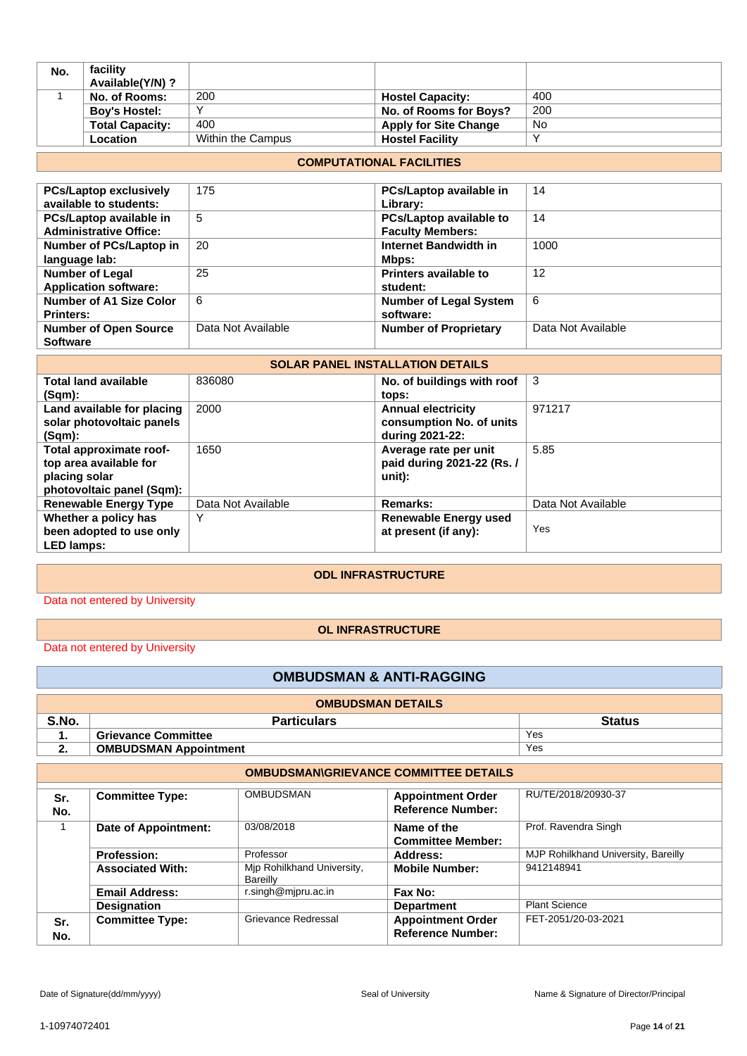| No. | facility               |                   |                              |     |
|-----|------------------------|-------------------|------------------------------|-----|
|     | Available(Y/N)?        |                   |                              |     |
|     | No. of Rooms:          | 200               | <b>Hostel Capacity:</b>      | 400 |
|     | <b>Boy's Hostel:</b>   |                   | No. of Rooms for Boys?       | 200 |
|     | <b>Total Capacity:</b> | 400               | <b>Apply for Site Change</b> | No  |
|     | Location               | Within the Campus | <b>Hostel Facility</b>       |     |

#### **COMPUTATIONAL FACILITIES**

| <b>PCs/Laptop exclusively</b>  | 175                | PCs/Laptop available in        | 14                 |
|--------------------------------|--------------------|--------------------------------|--------------------|
| available to students:         |                    | Library:                       |                    |
| PCs/Laptop available in        | 5                  | <b>PCs/Laptop available to</b> | 14                 |
| <b>Administrative Office:</b>  |                    | <b>Faculty Members:</b>        |                    |
| Number of PCs/Laptop in        | 20                 | Internet Bandwidth in          | 1000               |
| language lab:                  |                    | Mbps:                          |                    |
| <b>Number of Legal</b>         | 25                 | <b>Printers available to</b>   | 12                 |
| <b>Application software:</b>   |                    | student:                       |                    |
| <b>Number of A1 Size Color</b> | 6                  | <b>Number of Legal System</b>  | 6                  |
| <b>Printers:</b>               |                    | software:                      |                    |
| <b>Number of Open Source</b>   | Data Not Available | <b>Number of Proprietary</b>   | Data Not Available |
| <b>Software</b>                |                    |                                |                    |

# **SOLAR PANEL INSTALLATION DETAILS**

| <b>Total land available</b><br>(Sqm):                                                           | 836080             | No. of buildings with roof<br>tops:                                      | 3                  |
|-------------------------------------------------------------------------------------------------|--------------------|--------------------------------------------------------------------------|--------------------|
| Land available for placing<br>solar photovoltaic panels<br>(Sqm):                               | 2000               | <b>Annual electricity</b><br>consumption No. of units<br>during 2021-22: | 971217             |
| Total approximate roof-<br>top area available for<br>placing solar<br>photovoltaic panel (Sqm): | 1650               | Average rate per unit<br>paid during 2021-22 (Rs. /<br>unit):            | 5.85               |
| <b>Renewable Energy Type</b>                                                                    | Data Not Available | Remarks:                                                                 | Data Not Available |
| Whether a policy has<br>been adopted to use only<br><b>LED lamps:</b>                           | Υ                  | <b>Renewable Energy used</b><br>at present (if any):                     | Yes                |

# **ODL INFRASTRUCTURE**

Data not entered by University

#### **OL INFRASTRUCTURE**

Data not entered by University

# **OMBUDSMAN & ANTI-RAGGING**

| <b>OMBUDSMAN DETAILS</b> |                              |               |  |  |
|--------------------------|------------------------------|---------------|--|--|
| S.No.                    | <b>Particulars</b>           | <b>Status</b> |  |  |
|                          | <b>Grievance Committee</b>   | Yes           |  |  |
| 2.                       | <b>OMBUDSMAN Appointment</b> | Yes           |  |  |

|            | <b>OMBUDSMAN\GRIEVANCE COMMITTEE DETAILS</b> |                                        |                                                      |                                     |  |
|------------|----------------------------------------------|----------------------------------------|------------------------------------------------------|-------------------------------------|--|
| Sr.<br>No. | <b>Committee Type:</b>                       | <b>OMBUDSMAN</b>                       | <b>Appointment Order</b><br><b>Reference Number:</b> | RU/TE/2018/20930-37                 |  |
|            | Date of Appointment:                         | 03/08/2018                             | Name of the<br><b>Committee Member:</b>              | Prof. Ravendra Singh                |  |
|            | <b>Profession:</b>                           | Professor                              | Address:                                             | MJP Rohilkhand University, Bareilly |  |
|            | <b>Associated With:</b>                      | Mip Rohilkhand University,<br>Bareilly | <b>Mobile Number:</b>                                | 9412148941                          |  |
|            | <b>Email Address:</b>                        | r.singh@mjpru.ac.in                    | Fax No:                                              |                                     |  |
|            | <b>Designation</b>                           |                                        | <b>Department</b>                                    | <b>Plant Science</b>                |  |
| Sr.<br>No. | <b>Committee Type:</b>                       | Grievance Redressal                    | <b>Appointment Order</b><br><b>Reference Number:</b> | FET-2051/20-03-2021                 |  |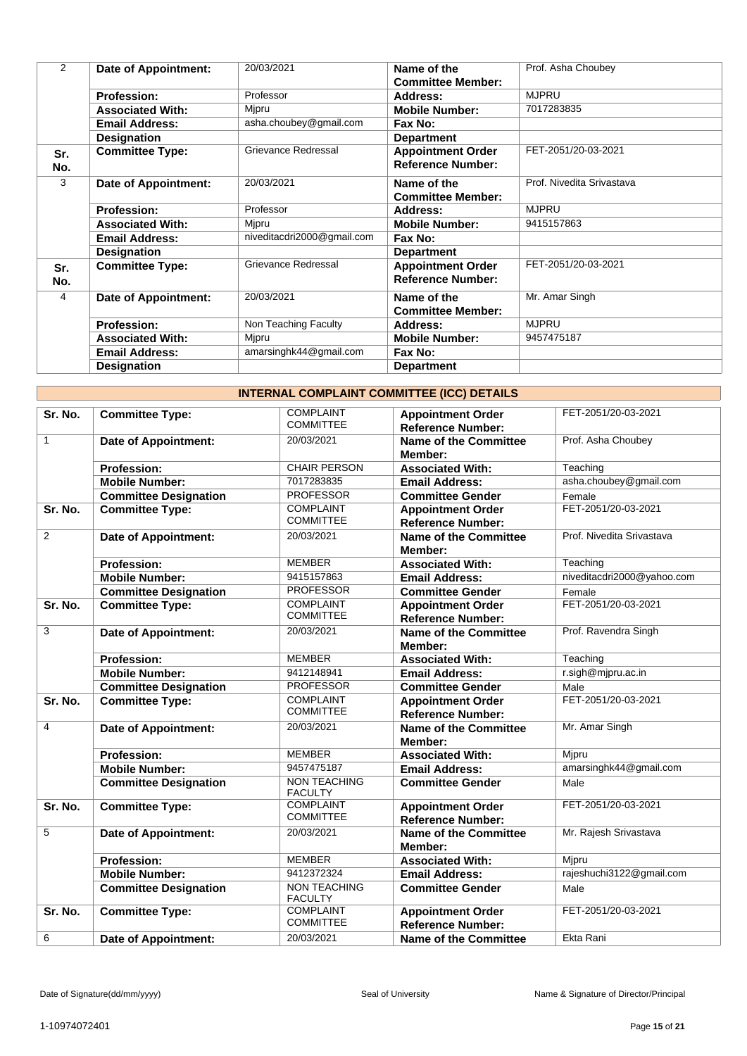| 2          | <b>Date of Appointment:</b> | 20/03/2021                 | Name of the<br><b>Committee Member:</b>              | Prof. Asha Choubey        |
|------------|-----------------------------|----------------------------|------------------------------------------------------|---------------------------|
|            | <b>Profession:</b>          | Professor                  | Address:                                             | <b>MJPRU</b>              |
|            | <b>Associated With:</b>     | Mjpru                      | <b>Mobile Number:</b>                                | 7017283835                |
|            | <b>Email Address:</b>       | asha.choubey@gmail.com     | Fax No:                                              |                           |
|            | <b>Designation</b>          |                            | <b>Department</b>                                    |                           |
| Sr.<br>No. | <b>Committee Type:</b>      | Grievance Redressal        | <b>Appointment Order</b><br><b>Reference Number:</b> | FET-2051/20-03-2021       |
| 3          | Date of Appointment:        | 20/03/2021                 | Name of the<br><b>Committee Member:</b>              | Prof. Nivedita Srivastava |
|            | <b>Profession:</b>          | Professor                  | Address:                                             | <b>MJPRU</b>              |
|            | <b>Associated With:</b>     | Mjpru                      | <b>Mobile Number:</b>                                | 9415157863                |
|            | <b>Email Address:</b>       | niveditacdri2000@gmail.com | Fax No:                                              |                           |
|            | <b>Designation</b>          |                            | <b>Department</b>                                    |                           |
| Sr.<br>No. | <b>Committee Type:</b>      | Grievance Redressal        | <b>Appointment Order</b><br><b>Reference Number:</b> | FET-2051/20-03-2021       |
| 4          | Date of Appointment:        | 20/03/2021                 | Name of the<br><b>Committee Member:</b>              | Mr. Amar Singh            |
|            | <b>Profession:</b>          | Non Teaching Faculty       | Address:                                             | <b>MJPRU</b>              |
|            | <b>Associated With:</b>     | Mipru                      | <b>Mobile Number:</b>                                | 9457475187                |
|            | <b>Email Address:</b>       | amarsinghk44@gmail.com     | Fax No:                                              |                           |
|            | <b>Designation</b>          |                            | <b>Department</b>                                    |                           |

|                         | <b>INTERNAL COMPLAINT COMMITTEE (ICC) DETAILS</b> |                                       |                                                      |                            |  |
|-------------------------|---------------------------------------------------|---------------------------------------|------------------------------------------------------|----------------------------|--|
| Sr. No.                 | <b>Committee Type:</b>                            | <b>COMPLAINT</b><br><b>COMMITTEE</b>  | <b>Appointment Order</b><br><b>Reference Number:</b> | FET-2051/20-03-2021        |  |
| $\mathbf{1}$            | <b>Date of Appointment:</b>                       | 20/03/2021                            | <b>Name of the Committee</b><br>Member:              | Prof. Asha Choubey         |  |
|                         | <b>Profession:</b>                                | <b>CHAIR PERSON</b>                   | <b>Associated With:</b>                              | Teaching                   |  |
|                         | <b>Mobile Number:</b>                             | 7017283835                            | <b>Email Address:</b>                                | asha.choubey@gmail.com     |  |
|                         | <b>Committee Designation</b>                      | <b>PROFESSOR</b>                      | <b>Committee Gender</b>                              | Female                     |  |
| Sr. No.                 | <b>Committee Type:</b>                            | <b>COMPLAINT</b><br><b>COMMITTEE</b>  | <b>Appointment Order</b><br><b>Reference Number:</b> | FET-2051/20-03-2021        |  |
| $\overline{2}$          | <b>Date of Appointment:</b>                       | 20/03/2021                            | <b>Name of the Committee</b><br>Member:              | Prof. Nivedita Srivastava  |  |
|                         | <b>Profession:</b>                                | <b>MEMBER</b>                         | <b>Associated With:</b>                              | Teaching                   |  |
|                         | <b>Mobile Number:</b>                             | 9415157863                            | <b>Email Address:</b>                                | niveditacdri2000@yahoo.com |  |
|                         | <b>Committee Designation</b>                      | <b>PROFESSOR</b>                      | <b>Committee Gender</b>                              | Female                     |  |
| Sr. No.                 | <b>Committee Type:</b>                            | <b>COMPLAINT</b><br><b>COMMITTEE</b>  | <b>Appointment Order</b><br><b>Reference Number:</b> | FET-2051/20-03-2021        |  |
| 3                       | <b>Date of Appointment:</b>                       | 20/03/2021                            | <b>Name of the Committee</b><br>Member:              | Prof. Ravendra Singh       |  |
|                         | <b>Profession:</b>                                | <b>MEMBER</b>                         | <b>Associated With:</b>                              | Teaching                   |  |
|                         | <b>Mobile Number:</b>                             | 9412148941                            | <b>Email Address:</b>                                | r.sigh@mjpru.ac.in         |  |
|                         | <b>Committee Designation</b>                      | <b>PROFESSOR</b>                      | <b>Committee Gender</b>                              | Male                       |  |
| Sr. No.                 | <b>Committee Type:</b>                            | <b>COMPLAINT</b><br><b>COMMITTEE</b>  | <b>Appointment Order</b><br><b>Reference Number:</b> | FET-2051/20-03-2021        |  |
| $\overline{\mathbf{4}}$ | <b>Date of Appointment:</b>                       | 20/03/2021                            | <b>Name of the Committee</b><br>Member:              | Mr. Amar Singh             |  |
|                         | <b>Profession:</b>                                | <b>MEMBER</b>                         | <b>Associated With:</b>                              | Mjpru                      |  |
|                         | <b>Mobile Number:</b>                             | 9457475187                            | <b>Email Address:</b>                                | amarsinghk44@gmail.com     |  |
|                         | <b>Committee Designation</b>                      | <b>NON TEACHING</b><br><b>FACULTY</b> | <b>Committee Gender</b>                              | Male                       |  |
| Sr. No.                 | <b>Committee Type:</b>                            | <b>COMPLAINT</b><br><b>COMMITTEE</b>  | <b>Appointment Order</b><br><b>Reference Number:</b> | FET-2051/20-03-2021        |  |
| 5                       | <b>Date of Appointment:</b>                       | 20/03/2021                            | <b>Name of the Committee</b><br>Member:              | Mr. Rajesh Srivastava      |  |
|                         | <b>Profession:</b>                                | <b>MEMBER</b>                         | <b>Associated With:</b>                              | Mipru                      |  |
|                         | <b>Mobile Number:</b>                             | 9412372324                            | <b>Email Address:</b>                                | rajeshuchi3122@gmail.com   |  |
|                         | <b>Committee Designation</b>                      | <b>NON TEACHING</b><br><b>FACULTY</b> | <b>Committee Gender</b>                              | Male                       |  |
| Sr. No.                 | <b>Committee Type:</b>                            | <b>COMPLAINT</b><br><b>COMMITTEE</b>  | <b>Appointment Order</b><br><b>Reference Number:</b> | FET-2051/20-03-2021        |  |
| 6                       | <b>Date of Appointment:</b>                       | 20/03/2021                            | <b>Name of the Committee</b>                         | Ekta Rani                  |  |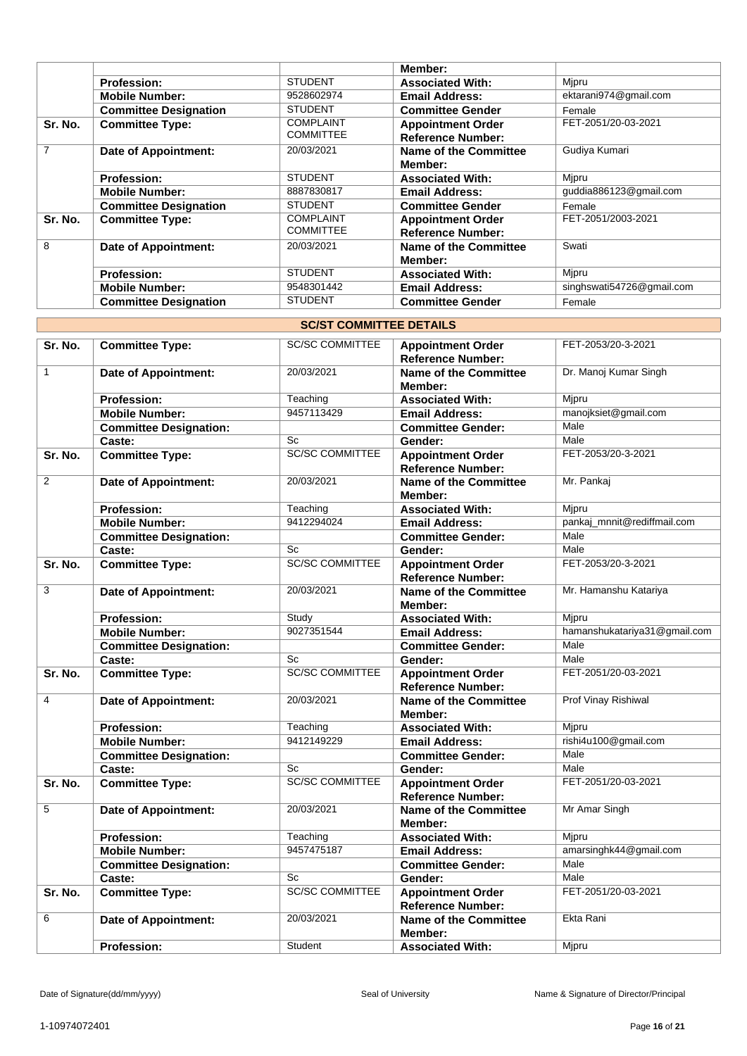|                |                              |                  | Member:                      |                           |
|----------------|------------------------------|------------------|------------------------------|---------------------------|
|                | <b>Profession:</b>           | <b>STUDENT</b>   | <b>Associated With:</b>      | Mipru                     |
|                | <b>Mobile Number:</b>        | 9528602974       | <b>Email Address:</b>        | ektarani974@gmail.com     |
|                | <b>Committee Designation</b> | <b>STUDENT</b>   | <b>Committee Gender</b>      | Female                    |
| Sr. No.        | <b>Committee Type:</b>       | <b>COMPLAINT</b> | <b>Appointment Order</b>     | FET-2051/20-03-2021       |
|                |                              | <b>COMMITTEE</b> | <b>Reference Number:</b>     |                           |
| $\overline{7}$ | <b>Date of Appointment:</b>  | 20/03/2021       | Name of the Committee        | Gudiya Kumari             |
|                |                              |                  | Member:                      |                           |
|                | <b>Profession:</b>           | <b>STUDENT</b>   | <b>Associated With:</b>      | Mipru                     |
|                | <b>Mobile Number:</b>        | 8887830817       | <b>Email Address:</b>        | guddia886123@gmail.com    |
|                | <b>Committee Designation</b> | <b>STUDENT</b>   | <b>Committee Gender</b>      | Female                    |
| Sr. No.        | <b>Committee Type:</b>       | <b>COMPLAINT</b> | <b>Appointment Order</b>     | FET-2051/2003-2021        |
|                |                              | <b>COMMITTEE</b> | <b>Reference Number:</b>     |                           |
| 8              | <b>Date of Appointment:</b>  | 20/03/2021       | <b>Name of the Committee</b> | Swati                     |
|                |                              |                  | Member:                      |                           |
|                | <b>Profession:</b>           | <b>STUDENT</b>   | <b>Associated With:</b>      | Mipru                     |
|                | <b>Mobile Number:</b>        | 9548301442       | <b>Email Address:</b>        | singhswati54726@gmail.com |
|                | <b>Committee Designation</b> | <b>STUDENT</b>   | <b>Committee Gender</b>      | Female                    |

| Sr. No.<br><b>SC/SC COMMITTEE</b><br>FET-2053/20-3-2021<br><b>Committee Type:</b><br><b>Appointment Order</b><br>Reference Number:<br>$\mathbf{1}$<br>20/03/2021<br>Dr. Manoj Kumar Singh<br><b>Date of Appointment:</b><br><b>Name of the Committee</b><br>Member:<br>Profession:<br>Teaching<br>Mipru<br><b>Associated With:</b><br>9457113429<br>manojksiet@gmail.com<br><b>Mobile Number:</b><br><b>Email Address:</b><br>Male<br><b>Committee Designation:</b><br><b>Committee Gender:</b><br>Sc<br>Male<br>Caste:<br>Gender:<br><b>SC/SC COMMITTEE</b><br><b>Committee Type:</b><br>FET-2053/20-3-2021<br>Sr. No.<br><b>Appointment Order</b><br><b>Reference Number:</b><br>$\overline{2}$<br>Mr. Pankaj<br>20/03/2021<br><b>Date of Appointment:</b><br><b>Name of the Committee</b><br>Member:<br>Teaching<br>Mjpru<br><b>Profession:</b><br><b>Associated With:</b><br>9412294024<br>pankaj_mnnit@rediffmail.com<br><b>Mobile Number:</b><br><b>Email Address:</b><br>Male<br><b>Committee Designation:</b><br><b>Committee Gender:</b><br>Male<br>Sc<br>Caste:<br>Gender:<br><b>SC/SC COMMITTEE</b><br>FET-2053/20-3-2021<br><b>Committee Type:</b><br>Sr. No.<br><b>Appointment Order</b><br><b>Reference Number:</b><br>3<br>20/03/2021<br>Mr. Hamanshu Katariya<br><b>Name of the Committee</b><br>Date of Appointment:<br>Member:<br>Study<br>Mjpru<br><b>Profession:</b><br><b>Associated With:</b><br>9027351544<br>hamanshukatariya31@gmail.com<br><b>Mobile Number:</b><br><b>Email Address:</b><br><b>Committee Designation:</b><br><b>Committee Gender:</b><br>Male<br>Sc<br>Male<br>Caste:<br>Gender:<br><b>SC/SC COMMITTEE</b><br>FET-2051/20-03-2021<br>Sr. No.<br><b>Committee Type:</b><br><b>Appointment Order</b><br><b>Reference Number:</b><br>$\overline{4}$<br>Prof Vinay Rishiwal<br>20/03/2021<br><b>Date of Appointment:</b><br><b>Name of the Committee</b><br>Member:<br>Teaching<br>Mjpru<br><b>Profession:</b><br><b>Associated With:</b><br>9412149229<br>rishi4u100@gmail.com<br><b>Mobile Number:</b><br><b>Email Address:</b><br>Male<br><b>Committee Designation:</b><br><b>Committee Gender:</b><br>Caste:<br>Sc<br>Male<br>Gender:<br><b>SC/SC COMMITTEE</b><br>FET-2051/20-03-2021<br>Sr. No.<br><b>Committee Type:</b><br><b>Appointment Order</b><br><b>Reference Number:</b><br>5<br>20/03/2021<br>Mr Amar Singh<br><b>Date of Appointment:</b><br><b>Name of the Committee</b><br>Member:<br>Mjpru<br>Teaching<br>Profession:<br><b>Associated With:</b><br>amarsinghk44@gmail.com<br>9457475187<br><b>Mobile Number:</b><br><b>Email Address:</b><br>Male<br><b>Committee Designation:</b><br><b>Committee Gender:</b><br>Sc<br>Caste:<br>Male<br>Gender:<br><b>SC/SC COMMITTEE</b><br>FET-2051/20-03-2021<br><b>Committee Type:</b><br>Sr. No.<br><b>Appointment Order</b><br><b>Reference Number:</b><br>6<br>20/03/2021<br>Ekta Rani<br><b>Name of the Committee</b><br><b>Date of Appointment:</b><br>Member: | <b>SC/ST COMMITTEE DETAILS</b> |                    |         |                         |       |  |
|-----------------------------------------------------------------------------------------------------------------------------------------------------------------------------------------------------------------------------------------------------------------------------------------------------------------------------------------------------------------------------------------------------------------------------------------------------------------------------------------------------------------------------------------------------------------------------------------------------------------------------------------------------------------------------------------------------------------------------------------------------------------------------------------------------------------------------------------------------------------------------------------------------------------------------------------------------------------------------------------------------------------------------------------------------------------------------------------------------------------------------------------------------------------------------------------------------------------------------------------------------------------------------------------------------------------------------------------------------------------------------------------------------------------------------------------------------------------------------------------------------------------------------------------------------------------------------------------------------------------------------------------------------------------------------------------------------------------------------------------------------------------------------------------------------------------------------------------------------------------------------------------------------------------------------------------------------------------------------------------------------------------------------------------------------------------------------------------------------------------------------------------------------------------------------------------------------------------------------------------------------------------------------------------------------------------------------------------------------------------------------------------------------------------------------------------------------------------------------------------------------------------------------------------------------------------------------------------------------------------------------------------------------------------------------------------------------------------------------------------------------------------------------------------------------------------------------------------------------------------------------------------------------------------------------------------------------------------------|--------------------------------|--------------------|---------|-------------------------|-------|--|
|                                                                                                                                                                                                                                                                                                                                                                                                                                                                                                                                                                                                                                                                                                                                                                                                                                                                                                                                                                                                                                                                                                                                                                                                                                                                                                                                                                                                                                                                                                                                                                                                                                                                                                                                                                                                                                                                                                                                                                                                                                                                                                                                                                                                                                                                                                                                                                                                                                                                                                                                                                                                                                                                                                                                                                                                                                                                                                                                                                       |                                |                    |         |                         |       |  |
|                                                                                                                                                                                                                                                                                                                                                                                                                                                                                                                                                                                                                                                                                                                                                                                                                                                                                                                                                                                                                                                                                                                                                                                                                                                                                                                                                                                                                                                                                                                                                                                                                                                                                                                                                                                                                                                                                                                                                                                                                                                                                                                                                                                                                                                                                                                                                                                                                                                                                                                                                                                                                                                                                                                                                                                                                                                                                                                                                                       |                                |                    |         |                         |       |  |
|                                                                                                                                                                                                                                                                                                                                                                                                                                                                                                                                                                                                                                                                                                                                                                                                                                                                                                                                                                                                                                                                                                                                                                                                                                                                                                                                                                                                                                                                                                                                                                                                                                                                                                                                                                                                                                                                                                                                                                                                                                                                                                                                                                                                                                                                                                                                                                                                                                                                                                                                                                                                                                                                                                                                                                                                                                                                                                                                                                       |                                |                    |         |                         |       |  |
|                                                                                                                                                                                                                                                                                                                                                                                                                                                                                                                                                                                                                                                                                                                                                                                                                                                                                                                                                                                                                                                                                                                                                                                                                                                                                                                                                                                                                                                                                                                                                                                                                                                                                                                                                                                                                                                                                                                                                                                                                                                                                                                                                                                                                                                                                                                                                                                                                                                                                                                                                                                                                                                                                                                                                                                                                                                                                                                                                                       |                                |                    |         |                         |       |  |
|                                                                                                                                                                                                                                                                                                                                                                                                                                                                                                                                                                                                                                                                                                                                                                                                                                                                                                                                                                                                                                                                                                                                                                                                                                                                                                                                                                                                                                                                                                                                                                                                                                                                                                                                                                                                                                                                                                                                                                                                                                                                                                                                                                                                                                                                                                                                                                                                                                                                                                                                                                                                                                                                                                                                                                                                                                                                                                                                                                       |                                |                    |         |                         |       |  |
|                                                                                                                                                                                                                                                                                                                                                                                                                                                                                                                                                                                                                                                                                                                                                                                                                                                                                                                                                                                                                                                                                                                                                                                                                                                                                                                                                                                                                                                                                                                                                                                                                                                                                                                                                                                                                                                                                                                                                                                                                                                                                                                                                                                                                                                                                                                                                                                                                                                                                                                                                                                                                                                                                                                                                                                                                                                                                                                                                                       |                                |                    |         |                         |       |  |
|                                                                                                                                                                                                                                                                                                                                                                                                                                                                                                                                                                                                                                                                                                                                                                                                                                                                                                                                                                                                                                                                                                                                                                                                                                                                                                                                                                                                                                                                                                                                                                                                                                                                                                                                                                                                                                                                                                                                                                                                                                                                                                                                                                                                                                                                                                                                                                                                                                                                                                                                                                                                                                                                                                                                                                                                                                                                                                                                                                       |                                |                    |         |                         |       |  |
|                                                                                                                                                                                                                                                                                                                                                                                                                                                                                                                                                                                                                                                                                                                                                                                                                                                                                                                                                                                                                                                                                                                                                                                                                                                                                                                                                                                                                                                                                                                                                                                                                                                                                                                                                                                                                                                                                                                                                                                                                                                                                                                                                                                                                                                                                                                                                                                                                                                                                                                                                                                                                                                                                                                                                                                                                                                                                                                                                                       |                                |                    |         |                         |       |  |
|                                                                                                                                                                                                                                                                                                                                                                                                                                                                                                                                                                                                                                                                                                                                                                                                                                                                                                                                                                                                                                                                                                                                                                                                                                                                                                                                                                                                                                                                                                                                                                                                                                                                                                                                                                                                                                                                                                                                                                                                                                                                                                                                                                                                                                                                                                                                                                                                                                                                                                                                                                                                                                                                                                                                                                                                                                                                                                                                                                       |                                |                    |         |                         |       |  |
|                                                                                                                                                                                                                                                                                                                                                                                                                                                                                                                                                                                                                                                                                                                                                                                                                                                                                                                                                                                                                                                                                                                                                                                                                                                                                                                                                                                                                                                                                                                                                                                                                                                                                                                                                                                                                                                                                                                                                                                                                                                                                                                                                                                                                                                                                                                                                                                                                                                                                                                                                                                                                                                                                                                                                                                                                                                                                                                                                                       |                                |                    |         |                         |       |  |
|                                                                                                                                                                                                                                                                                                                                                                                                                                                                                                                                                                                                                                                                                                                                                                                                                                                                                                                                                                                                                                                                                                                                                                                                                                                                                                                                                                                                                                                                                                                                                                                                                                                                                                                                                                                                                                                                                                                                                                                                                                                                                                                                                                                                                                                                                                                                                                                                                                                                                                                                                                                                                                                                                                                                                                                                                                                                                                                                                                       |                                |                    |         |                         |       |  |
|                                                                                                                                                                                                                                                                                                                                                                                                                                                                                                                                                                                                                                                                                                                                                                                                                                                                                                                                                                                                                                                                                                                                                                                                                                                                                                                                                                                                                                                                                                                                                                                                                                                                                                                                                                                                                                                                                                                                                                                                                                                                                                                                                                                                                                                                                                                                                                                                                                                                                                                                                                                                                                                                                                                                                                                                                                                                                                                                                                       |                                |                    |         |                         |       |  |
|                                                                                                                                                                                                                                                                                                                                                                                                                                                                                                                                                                                                                                                                                                                                                                                                                                                                                                                                                                                                                                                                                                                                                                                                                                                                                                                                                                                                                                                                                                                                                                                                                                                                                                                                                                                                                                                                                                                                                                                                                                                                                                                                                                                                                                                                                                                                                                                                                                                                                                                                                                                                                                                                                                                                                                                                                                                                                                                                                                       |                                |                    |         |                         |       |  |
|                                                                                                                                                                                                                                                                                                                                                                                                                                                                                                                                                                                                                                                                                                                                                                                                                                                                                                                                                                                                                                                                                                                                                                                                                                                                                                                                                                                                                                                                                                                                                                                                                                                                                                                                                                                                                                                                                                                                                                                                                                                                                                                                                                                                                                                                                                                                                                                                                                                                                                                                                                                                                                                                                                                                                                                                                                                                                                                                                                       |                                |                    |         |                         |       |  |
|                                                                                                                                                                                                                                                                                                                                                                                                                                                                                                                                                                                                                                                                                                                                                                                                                                                                                                                                                                                                                                                                                                                                                                                                                                                                                                                                                                                                                                                                                                                                                                                                                                                                                                                                                                                                                                                                                                                                                                                                                                                                                                                                                                                                                                                                                                                                                                                                                                                                                                                                                                                                                                                                                                                                                                                                                                                                                                                                                                       |                                |                    |         |                         |       |  |
|                                                                                                                                                                                                                                                                                                                                                                                                                                                                                                                                                                                                                                                                                                                                                                                                                                                                                                                                                                                                                                                                                                                                                                                                                                                                                                                                                                                                                                                                                                                                                                                                                                                                                                                                                                                                                                                                                                                                                                                                                                                                                                                                                                                                                                                                                                                                                                                                                                                                                                                                                                                                                                                                                                                                                                                                                                                                                                                                                                       |                                |                    |         |                         |       |  |
|                                                                                                                                                                                                                                                                                                                                                                                                                                                                                                                                                                                                                                                                                                                                                                                                                                                                                                                                                                                                                                                                                                                                                                                                                                                                                                                                                                                                                                                                                                                                                                                                                                                                                                                                                                                                                                                                                                                                                                                                                                                                                                                                                                                                                                                                                                                                                                                                                                                                                                                                                                                                                                                                                                                                                                                                                                                                                                                                                                       |                                |                    |         |                         |       |  |
|                                                                                                                                                                                                                                                                                                                                                                                                                                                                                                                                                                                                                                                                                                                                                                                                                                                                                                                                                                                                                                                                                                                                                                                                                                                                                                                                                                                                                                                                                                                                                                                                                                                                                                                                                                                                                                                                                                                                                                                                                                                                                                                                                                                                                                                                                                                                                                                                                                                                                                                                                                                                                                                                                                                                                                                                                                                                                                                                                                       |                                |                    |         |                         |       |  |
|                                                                                                                                                                                                                                                                                                                                                                                                                                                                                                                                                                                                                                                                                                                                                                                                                                                                                                                                                                                                                                                                                                                                                                                                                                                                                                                                                                                                                                                                                                                                                                                                                                                                                                                                                                                                                                                                                                                                                                                                                                                                                                                                                                                                                                                                                                                                                                                                                                                                                                                                                                                                                                                                                                                                                                                                                                                                                                                                                                       |                                |                    |         |                         |       |  |
|                                                                                                                                                                                                                                                                                                                                                                                                                                                                                                                                                                                                                                                                                                                                                                                                                                                                                                                                                                                                                                                                                                                                                                                                                                                                                                                                                                                                                                                                                                                                                                                                                                                                                                                                                                                                                                                                                                                                                                                                                                                                                                                                                                                                                                                                                                                                                                                                                                                                                                                                                                                                                                                                                                                                                                                                                                                                                                                                                                       |                                |                    |         |                         |       |  |
|                                                                                                                                                                                                                                                                                                                                                                                                                                                                                                                                                                                                                                                                                                                                                                                                                                                                                                                                                                                                                                                                                                                                                                                                                                                                                                                                                                                                                                                                                                                                                                                                                                                                                                                                                                                                                                                                                                                                                                                                                                                                                                                                                                                                                                                                                                                                                                                                                                                                                                                                                                                                                                                                                                                                                                                                                                                                                                                                                                       |                                |                    |         |                         |       |  |
|                                                                                                                                                                                                                                                                                                                                                                                                                                                                                                                                                                                                                                                                                                                                                                                                                                                                                                                                                                                                                                                                                                                                                                                                                                                                                                                                                                                                                                                                                                                                                                                                                                                                                                                                                                                                                                                                                                                                                                                                                                                                                                                                                                                                                                                                                                                                                                                                                                                                                                                                                                                                                                                                                                                                                                                                                                                                                                                                                                       |                                |                    |         |                         |       |  |
|                                                                                                                                                                                                                                                                                                                                                                                                                                                                                                                                                                                                                                                                                                                                                                                                                                                                                                                                                                                                                                                                                                                                                                                                                                                                                                                                                                                                                                                                                                                                                                                                                                                                                                                                                                                                                                                                                                                                                                                                                                                                                                                                                                                                                                                                                                                                                                                                                                                                                                                                                                                                                                                                                                                                                                                                                                                                                                                                                                       |                                |                    |         |                         |       |  |
|                                                                                                                                                                                                                                                                                                                                                                                                                                                                                                                                                                                                                                                                                                                                                                                                                                                                                                                                                                                                                                                                                                                                                                                                                                                                                                                                                                                                                                                                                                                                                                                                                                                                                                                                                                                                                                                                                                                                                                                                                                                                                                                                                                                                                                                                                                                                                                                                                                                                                                                                                                                                                                                                                                                                                                                                                                                                                                                                                                       |                                |                    |         |                         |       |  |
|                                                                                                                                                                                                                                                                                                                                                                                                                                                                                                                                                                                                                                                                                                                                                                                                                                                                                                                                                                                                                                                                                                                                                                                                                                                                                                                                                                                                                                                                                                                                                                                                                                                                                                                                                                                                                                                                                                                                                                                                                                                                                                                                                                                                                                                                                                                                                                                                                                                                                                                                                                                                                                                                                                                                                                                                                                                                                                                                                                       |                                |                    |         |                         |       |  |
|                                                                                                                                                                                                                                                                                                                                                                                                                                                                                                                                                                                                                                                                                                                                                                                                                                                                                                                                                                                                                                                                                                                                                                                                                                                                                                                                                                                                                                                                                                                                                                                                                                                                                                                                                                                                                                                                                                                                                                                                                                                                                                                                                                                                                                                                                                                                                                                                                                                                                                                                                                                                                                                                                                                                                                                                                                                                                                                                                                       |                                |                    |         |                         |       |  |
|                                                                                                                                                                                                                                                                                                                                                                                                                                                                                                                                                                                                                                                                                                                                                                                                                                                                                                                                                                                                                                                                                                                                                                                                                                                                                                                                                                                                                                                                                                                                                                                                                                                                                                                                                                                                                                                                                                                                                                                                                                                                                                                                                                                                                                                                                                                                                                                                                                                                                                                                                                                                                                                                                                                                                                                                                                                                                                                                                                       |                                |                    |         |                         |       |  |
|                                                                                                                                                                                                                                                                                                                                                                                                                                                                                                                                                                                                                                                                                                                                                                                                                                                                                                                                                                                                                                                                                                                                                                                                                                                                                                                                                                                                                                                                                                                                                                                                                                                                                                                                                                                                                                                                                                                                                                                                                                                                                                                                                                                                                                                                                                                                                                                                                                                                                                                                                                                                                                                                                                                                                                                                                                                                                                                                                                       |                                |                    |         |                         |       |  |
|                                                                                                                                                                                                                                                                                                                                                                                                                                                                                                                                                                                                                                                                                                                                                                                                                                                                                                                                                                                                                                                                                                                                                                                                                                                                                                                                                                                                                                                                                                                                                                                                                                                                                                                                                                                                                                                                                                                                                                                                                                                                                                                                                                                                                                                                                                                                                                                                                                                                                                                                                                                                                                                                                                                                                                                                                                                                                                                                                                       |                                |                    |         |                         |       |  |
|                                                                                                                                                                                                                                                                                                                                                                                                                                                                                                                                                                                                                                                                                                                                                                                                                                                                                                                                                                                                                                                                                                                                                                                                                                                                                                                                                                                                                                                                                                                                                                                                                                                                                                                                                                                                                                                                                                                                                                                                                                                                                                                                                                                                                                                                                                                                                                                                                                                                                                                                                                                                                                                                                                                                                                                                                                                                                                                                                                       |                                |                    |         |                         |       |  |
|                                                                                                                                                                                                                                                                                                                                                                                                                                                                                                                                                                                                                                                                                                                                                                                                                                                                                                                                                                                                                                                                                                                                                                                                                                                                                                                                                                                                                                                                                                                                                                                                                                                                                                                                                                                                                                                                                                                                                                                                                                                                                                                                                                                                                                                                                                                                                                                                                                                                                                                                                                                                                                                                                                                                                                                                                                                                                                                                                                       |                                |                    |         |                         |       |  |
|                                                                                                                                                                                                                                                                                                                                                                                                                                                                                                                                                                                                                                                                                                                                                                                                                                                                                                                                                                                                                                                                                                                                                                                                                                                                                                                                                                                                                                                                                                                                                                                                                                                                                                                                                                                                                                                                                                                                                                                                                                                                                                                                                                                                                                                                                                                                                                                                                                                                                                                                                                                                                                                                                                                                                                                                                                                                                                                                                                       |                                |                    |         |                         |       |  |
|                                                                                                                                                                                                                                                                                                                                                                                                                                                                                                                                                                                                                                                                                                                                                                                                                                                                                                                                                                                                                                                                                                                                                                                                                                                                                                                                                                                                                                                                                                                                                                                                                                                                                                                                                                                                                                                                                                                                                                                                                                                                                                                                                                                                                                                                                                                                                                                                                                                                                                                                                                                                                                                                                                                                                                                                                                                                                                                                                                       |                                | <b>Profession:</b> | Student | <b>Associated With:</b> | Mjpru |  |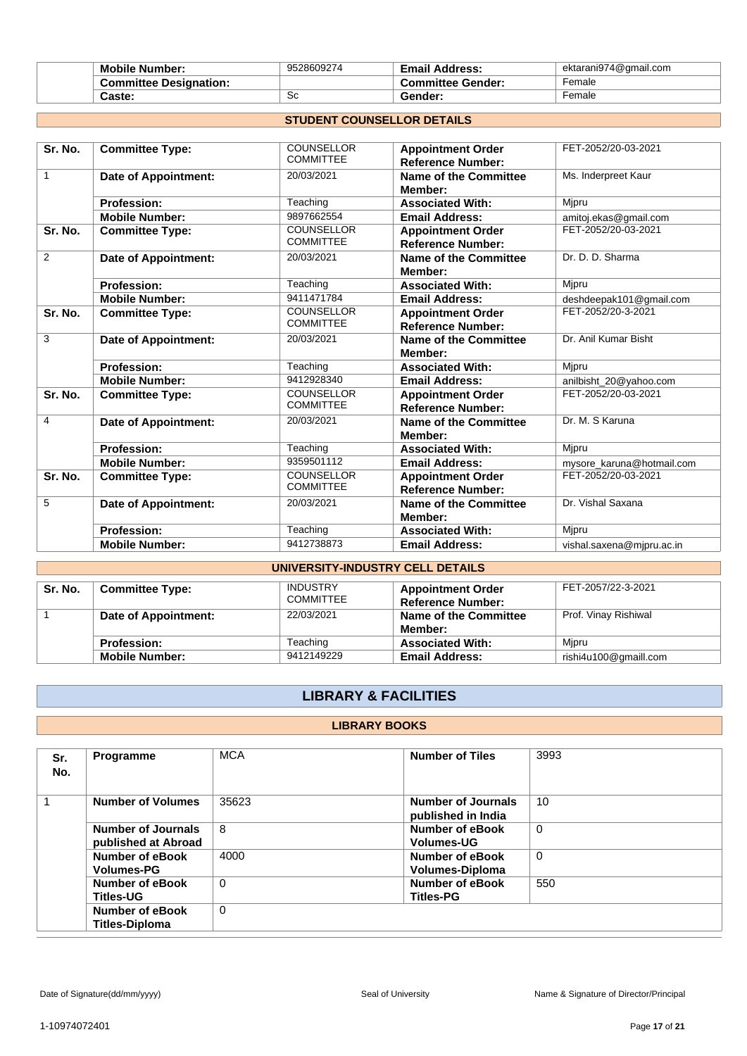| <b>Mobile Number:</b>         | 9528609274 | <b>Email Address:</b>    | ektarani974@gmail.com |
|-------------------------------|------------|--------------------------|-----------------------|
| <b>Committee Designation:</b> |            | <b>Committee Gender:</b> | Female                |
| Caste:                        | Sc         | <b>⊡ender:</b>           | Female                |

# **STUDENT COUNSELLOR DETAILS**

| Sr. No.                          | <b>Committee Type:</b>      | <b>COUNSELLOR</b><br><b>COMMITTEE</b> | <b>Appointment Order</b><br><b>Reference Number:</b> | FET-2052/20-03-2021       |  |
|----------------------------------|-----------------------------|---------------------------------------|------------------------------------------------------|---------------------------|--|
| $\mathbf{1}$                     | Date of Appointment:        | 20/03/2021                            | <b>Name of the Committee</b><br>Member:              | Ms. Inderpreet Kaur       |  |
|                                  | <b>Profession:</b>          | Teaching                              | <b>Associated With:</b>                              | Mjpru                     |  |
|                                  | <b>Mobile Number:</b>       | 9897662554                            | <b>Email Address:</b>                                | amitoj.ekas@gmail.com     |  |
| Sr. No.                          | <b>Committee Type:</b>      | <b>COUNSELLOR</b><br><b>COMMITTEE</b> | <b>Appointment Order</b><br><b>Reference Number:</b> | FET-2052/20-03-2021       |  |
| 2                                | <b>Date of Appointment:</b> | 20/03/2021                            | <b>Name of the Committee</b><br>Member:              | Dr. D. D. Sharma          |  |
|                                  | <b>Profession:</b>          | Teaching                              | <b>Associated With:</b>                              | Mipru                     |  |
|                                  | <b>Mobile Number:</b>       | 9411471784                            | <b>Email Address:</b>                                | deshdeepak101@gmail.com   |  |
| Sr. No.                          | <b>Committee Type:</b>      | <b>COUNSELLOR</b><br><b>COMMITTEE</b> | <b>Appointment Order</b><br><b>Reference Number:</b> | FET-2052/20-3-2021        |  |
| 3                                | <b>Date of Appointment:</b> | 20/03/2021                            | Name of the Committee<br>Member:                     | Dr. Anil Kumar Bisht      |  |
|                                  | <b>Profession:</b>          | Teaching                              | <b>Associated With:</b>                              | Mipru                     |  |
|                                  | <b>Mobile Number:</b>       | 9412928340                            | <b>Email Address:</b>                                | anilbisht_20@yahoo.com    |  |
| Sr. No.                          | <b>Committee Type:</b>      | <b>COUNSELLOR</b><br><b>COMMITTEE</b> | <b>Appointment Order</b><br><b>Reference Number:</b> | FET-2052/20-03-2021       |  |
| 4                                | Date of Appointment:        | 20/03/2021                            | Name of the Committee<br>Member:                     | Dr. M. S Karuna           |  |
|                                  | <b>Profession:</b>          | Teaching                              | <b>Associated With:</b>                              | Mipru                     |  |
|                                  | <b>Mobile Number:</b>       | 9359501112                            | <b>Email Address:</b>                                | mysore karuna@hotmail.com |  |
| Sr. No.                          | <b>Committee Type:</b>      | <b>COUNSELLOR</b><br><b>COMMITTEE</b> | <b>Appointment Order</b><br><b>Reference Number:</b> | FET-2052/20-03-2021       |  |
| 5                                | Date of Appointment:        | 20/03/2021                            | Name of the Committee<br>Member:                     | Dr. Vishal Saxana         |  |
|                                  | <b>Profession:</b>          | Teaching                              | <b>Associated With:</b>                              | Mjpru                     |  |
|                                  | <b>Mobile Number:</b>       | 9412738873                            | <b>Email Address:</b>                                | vishal.saxena@mjpru.ac.in |  |
| UNIVERSITY-INDUSTRY CELL DETAILS |                             |                                       |                                                      |                           |  |

| Sr. No. | <b>Committee Type:</b> | <b>INDUSTRY</b><br><b>COMMITTEE</b> | <b>Appointment Order</b><br><b>Reference Number:</b> | FET-2057/22-3-2021    |  |  |
|---------|------------------------|-------------------------------------|------------------------------------------------------|-----------------------|--|--|
|         | Date of Appointment:   | 22/03/2021                          | Name of the Committee<br>Member:                     | Prof. Vinay Rishiwal  |  |  |
|         | <b>Profession:</b>     | Teaching                            | <b>Associated With:</b>                              | Mipru                 |  |  |
|         | <b>Mobile Number:</b>  | 9412149229                          | <b>Email Address:</b>                                | rishi4u100@gmaill.com |  |  |

# **LIBRARY & FACILITIES**

## **LIBRARY BOOKS**

| Sr.<br>No. | <b>Programme</b>                                 | <b>MCA</b>  | <b>Number of Tiles</b>                   | 3993        |
|------------|--------------------------------------------------|-------------|------------------------------------------|-------------|
| 1          | <b>Number of Volumes</b>                         | 35623       | Number of Journals<br>published in India | 10          |
|            | <b>Number of Journals</b><br>published at Abroad | 8           | Number of eBook<br><b>Volumes-UG</b>     | $\mathbf 0$ |
|            | Number of eBook<br><b>Volumes-PG</b>             | 4000        | Number of eBook<br>Volumes-Diploma       | $\Omega$    |
|            | Number of eBook<br><b>Titles-UG</b>              | $\Omega$    | Number of eBook<br><b>Titles-PG</b>      | 550         |
|            | Number of eBook<br><b>Titles-Diploma</b>         | $\mathbf 0$ |                                          |             |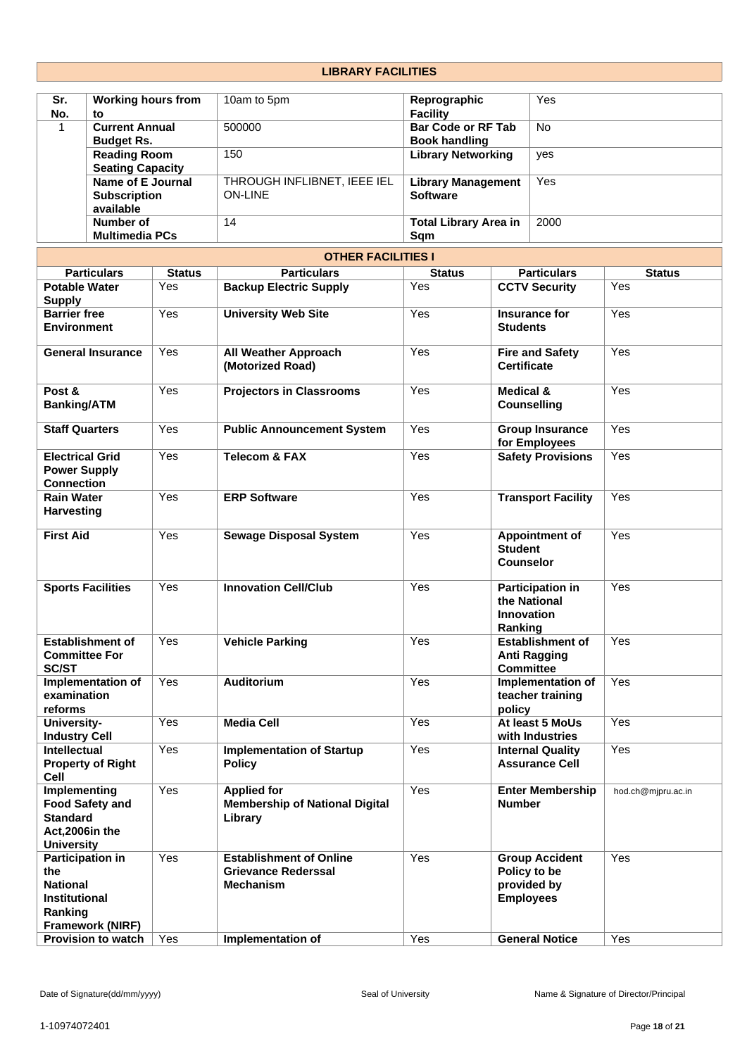# **LIBRARY FACILITIES**

| Sr.<br>No. | <b>Working hours from</b><br>to                       | 10am to 5pm                                   | Reprographic<br><b>Facility</b>                   | Yes       |
|------------|-------------------------------------------------------|-----------------------------------------------|---------------------------------------------------|-----------|
|            | <b>Current Annual</b><br><b>Budget Rs.</b>            | 500000                                        | <b>Bar Code or RF Tab</b><br><b>Book handling</b> | <b>No</b> |
|            | <b>Reading Room</b><br><b>Seating Capacity</b>        | 150                                           | <b>Library Networking</b>                         | yes       |
|            | Name of E Journal<br><b>Subscription</b><br>available | THROUGH INFLIBNET, IEEE IEL<br><b>ON-LINE</b> | <b>Library Management</b><br><b>Software</b>      | Yes       |
|            | Number of<br><b>Multimedia PCs</b>                    | 14                                            | <b>Total Library Area in</b><br>Sam               | 2000      |

| <b>OTHER FACILITIES I</b>                                                                                       |               |                                                                                  |               |                                                                          |                    |  |
|-----------------------------------------------------------------------------------------------------------------|---------------|----------------------------------------------------------------------------------|---------------|--------------------------------------------------------------------------|--------------------|--|
| <b>Particulars</b>                                                                                              | <b>Status</b> | <b>Particulars</b>                                                               | <b>Status</b> | <b>Particulars</b>                                                       | <b>Status</b>      |  |
| <b>Potable Water</b><br><b>Supply</b>                                                                           | Yes           | <b>Backup Electric Supply</b>                                                    | Yes           | <b>CCTV Security</b>                                                     | Yes                |  |
| <b>Barrier free</b><br><b>Environment</b>                                                                       | Yes           | <b>University Web Site</b>                                                       | Yes           | Insurance for<br><b>Students</b>                                         | Yes                |  |
| <b>General Insurance</b>                                                                                        | Yes           | <b>All Weather Approach</b><br>(Motorized Road)                                  | Yes           | <b>Fire and Safety</b><br><b>Certificate</b>                             | Yes                |  |
| Post &<br><b>Banking/ATM</b>                                                                                    | Yes           | <b>Projectors in Classrooms</b>                                                  | Yes           | <b>Medical &amp;</b><br><b>Counselling</b>                               | Yes                |  |
| <b>Staff Quarters</b>                                                                                           | Yes           | <b>Public Announcement System</b>                                                | Yes           | <b>Group Insurance</b><br>for Employees                                  | Yes                |  |
| <b>Electrical Grid</b><br><b>Power Supply</b><br><b>Connection</b>                                              | Yes           | <b>Telecom &amp; FAX</b>                                                         | Yes           | <b>Safety Provisions</b>                                                 | Yes                |  |
| <b>Rain Water</b><br><b>Harvesting</b>                                                                          | Yes           | <b>ERP Software</b>                                                              | Yes           | <b>Transport Facility</b>                                                | Yes                |  |
| <b>First Aid</b>                                                                                                | Yes           | <b>Sewage Disposal System</b>                                                    | Yes           | Appointment of<br><b>Student</b><br><b>Counselor</b>                     | Yes                |  |
| <b>Sports Facilities</b>                                                                                        | Yes           | <b>Innovation Cell/Club</b>                                                      | Yes           | <b>Participation in</b><br>the National<br><b>Innovation</b><br>Ranking  | Yes                |  |
| <b>Establishment of</b><br><b>Committee For</b><br><b>SC/ST</b>                                                 | Yes           | <b>Vehicle Parking</b>                                                           | Yes           | <b>Establishment of</b><br><b>Anti Ragging</b><br><b>Committee</b>       | Yes                |  |
| Implementation of<br>examination<br>reforms                                                                     | Yes           | <b>Auditorium</b>                                                                | Yes           | Implementation of<br>teacher training<br>policy                          | Yes                |  |
| University-<br><b>Industry Cell</b>                                                                             | Yes           | <b>Media Cell</b>                                                                | Yes           | At least 5 MoUs<br>with Industries                                       | Yes                |  |
| Intellectual<br><b>Property of Right</b><br>Cell                                                                | Yes           | <b>Implementation of Startup</b><br><b>Policy</b>                                | Yes           | <b>Internal Quality</b><br><b>Assurance Cell</b>                         | Yes                |  |
| Implementing<br><b>Food Safety and</b><br><b>Standard</b><br>Act,2006in the<br><b>University</b>                | Yes           | <b>Applied for</b><br><b>Membership of National Digital</b><br>Library           | Yes           | <b>Enter Membership</b><br>Number                                        | hod.ch@mjpru.ac.in |  |
| <b>Participation in</b><br>the<br><b>National</b><br><b>Institutional</b><br>Ranking<br><b>Framework (NIRF)</b> | Yes           | <b>Establishment of Online</b><br><b>Grievance Rederssal</b><br><b>Mechanism</b> | Yes           | <b>Group Accident</b><br>Policy to be<br>provided by<br><b>Employees</b> | Yes                |  |
| <b>Provision to watch</b>                                                                                       | Yes           | Implementation of                                                                | Yes           | <b>General Notice</b>                                                    | Yes                |  |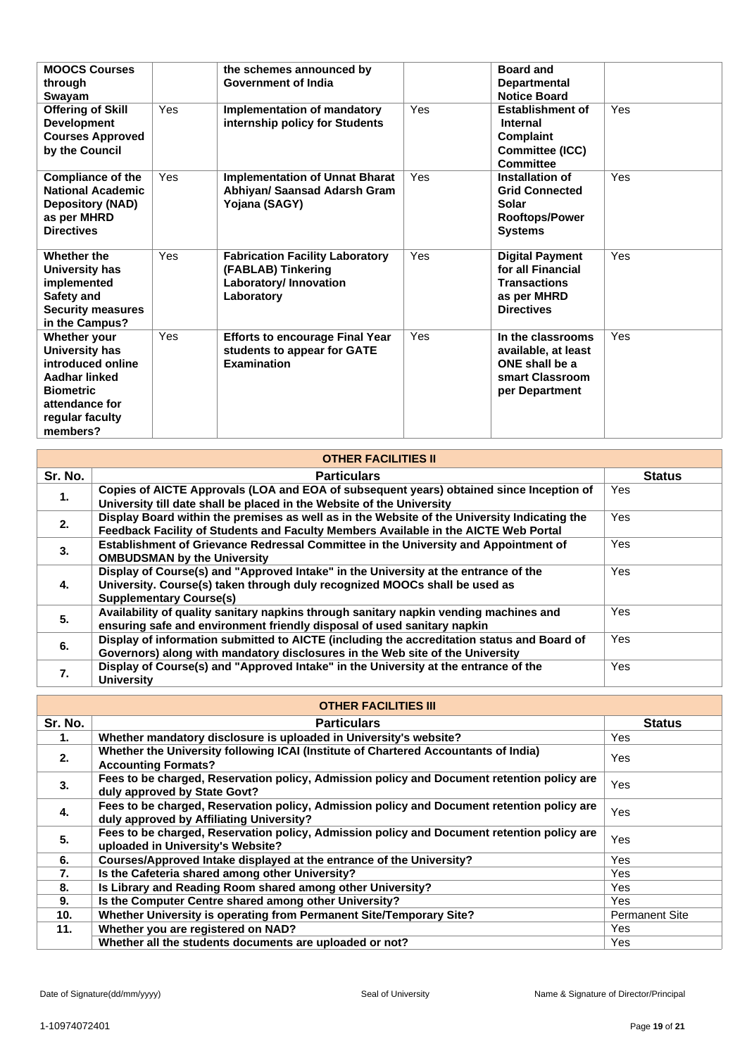| <b>MOOCS Courses</b><br>through<br>Swayam                                                                                                        |     | the schemes announced by<br><b>Government of India</b>                                               |     | <b>Board and</b><br><b>Departmental</b><br><b>Notice Board</b>                                         |     |
|--------------------------------------------------------------------------------------------------------------------------------------------------|-----|------------------------------------------------------------------------------------------------------|-----|--------------------------------------------------------------------------------------------------------|-----|
| <b>Offering of Skill</b><br><b>Development</b><br><b>Courses Approved</b><br>by the Council                                                      | Yes | <b>Implementation of mandatory</b><br>internship policy for Students                                 | Yes | <b>Establishment of</b><br><b>Internal</b><br><b>Complaint</b><br>Committee (ICC)<br>Committee         | Yes |
| <b>Compliance of the</b><br><b>National Academic</b><br><b>Depository (NAD)</b><br>as per MHRD<br><b>Directives</b>                              | Yes | <b>Implementation of Unnat Bharat</b><br>Abhiyan/ Saansad Adarsh Gram<br>Yojana (SAGY)               | Yes | Installation of<br><b>Grid Connected</b><br>Solar<br><b>Rooftops/Power</b><br><b>Systems</b>           | Yes |
| Whether the<br><b>University has</b><br>implemented<br>Safety and<br><b>Security measures</b><br>in the Campus?                                  | Yes | <b>Fabrication Facility Laboratory</b><br>(FABLAB) Tinkering<br>Laboratory/ Innovation<br>Laboratory | Yes | <b>Digital Payment</b><br>for all Financial<br><b>Transactions</b><br>as per MHRD<br><b>Directives</b> | Yes |
| Whether your<br><b>University has</b><br>introduced online<br>Aadhar linked<br><b>Biometric</b><br>attendance for<br>regular faculty<br>members? | Yes | <b>Efforts to encourage Final Year</b><br>students to appear for GATE<br><b>Examination</b>          | Yes | In the classrooms<br>available, at least<br>ONE shall be a<br>smart Classroom<br>per Department        | Yes |

| <b>OTHER FACILITIES II</b> |                                                                                                                                                                                                     |               |  |  |  |
|----------------------------|-----------------------------------------------------------------------------------------------------------------------------------------------------------------------------------------------------|---------------|--|--|--|
| Sr. No.                    | <b>Particulars</b>                                                                                                                                                                                  | <b>Status</b> |  |  |  |
| 1.                         | Copies of AICTE Approvals (LOA and EOA of subsequent years) obtained since Inception of<br>University till date shall be placed in the Website of the University                                    | Yes.          |  |  |  |
| 2.                         | Display Board within the premises as well as in the Website of the University Indicating the<br>Feedback Facility of Students and Faculty Members Available in the AICTE Web Portal                 | <b>Yes</b>    |  |  |  |
| 3.                         | Establishment of Grievance Redressal Committee in the University and Appointment of<br><b>OMBUDSMAN by the University</b>                                                                           | Yes.          |  |  |  |
| 4.                         | Display of Course(s) and "Approved Intake" in the University at the entrance of the<br>University. Course(s) taken through duly recognized MOOCs shall be used as<br><b>Supplementary Course(s)</b> | <b>Yes</b>    |  |  |  |
| 5.                         | Availability of quality sanitary napkins through sanitary napkin vending machines and<br>ensuring safe and environment friendly disposal of used sanitary napkin                                    | <b>Yes</b>    |  |  |  |
| 6.                         | Display of information submitted to AICTE (including the accreditation status and Board of<br>Governors) along with mandatory disclosures in the Web site of the University                         | Yes.          |  |  |  |
| 7.                         | Display of Course(s) and "Approved Intake" in the University at the entrance of the<br><b>University</b>                                                                                            | <b>Yes</b>    |  |  |  |

| <b>OTHER FACILITIES III</b> |                                                                                                                                        |                       |  |  |
|-----------------------------|----------------------------------------------------------------------------------------------------------------------------------------|-----------------------|--|--|
| Sr. No.                     | <b>Particulars</b>                                                                                                                     | <b>Status</b>         |  |  |
| 1.                          | Whether mandatory disclosure is uploaded in University's website?                                                                      | Yes                   |  |  |
| 2.                          | Whether the University following ICAI (Institute of Chartered Accountants of India)<br><b>Accounting Formats?</b>                      | Yes                   |  |  |
| 3.                          | Fees to be charged, Reservation policy, Admission policy and Document retention policy are<br>duly approved by State Govt?             | Yes                   |  |  |
| 4.                          | Fees to be charged, Reservation policy, Admission policy and Document retention policy are<br>duly approved by Affiliating University? | Yes                   |  |  |
| 5.                          | Fees to be charged, Reservation policy, Admission policy and Document retention policy are<br>uploaded in University's Website?        | Yes                   |  |  |
| 6.                          | Courses/Approved Intake displayed at the entrance of the University?                                                                   | <b>Yes</b>            |  |  |
| 7.                          | Is the Cafeteria shared among other University?                                                                                        | Yes                   |  |  |
| 8.                          | Is Library and Reading Room shared among other University?                                                                             | Yes                   |  |  |
| 9.                          | Is the Computer Centre shared among other University?                                                                                  | <b>Yes</b>            |  |  |
| 10.                         | Whether University is operating from Permanent Site/Temporary Site?                                                                    | <b>Permanent Site</b> |  |  |
| 11.                         | Whether you are registered on NAD?                                                                                                     | Yes                   |  |  |
|                             | Whether all the students documents are uploaded or not?                                                                                | Yes                   |  |  |

Г

٦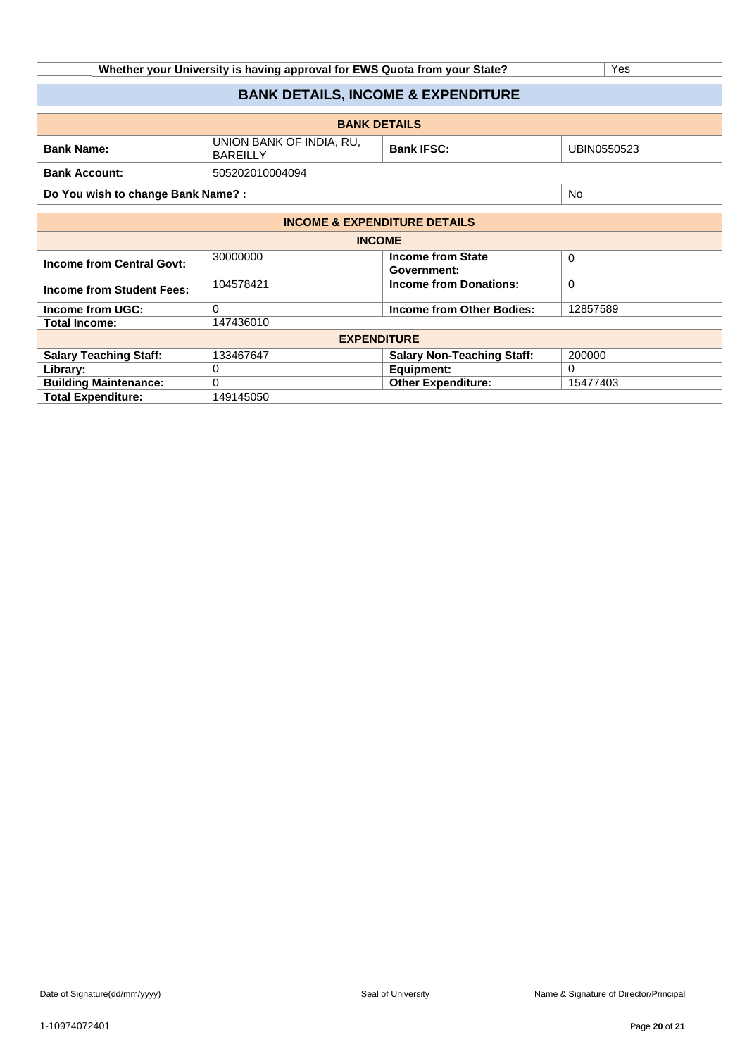| Whether your University is having approval for EWS Quota from your State? | ∨es |
|---------------------------------------------------------------------------|-----|
|                                                                           |     |

# **BANK DETAILS, INCOME & EXPENDITURE**

| <b>BANK DETAILS</b>  |                                      |                                  |  |  |  |  |  |  |  |
|----------------------|--------------------------------------|----------------------------------|--|--|--|--|--|--|--|
| <b>Bank Name:</b>    | UNION BANK OF INDIA, RU,<br>BAREILLY | <b>Bank IFSC:</b><br>UBIN0550523 |  |  |  |  |  |  |  |
| <b>Bank Account:</b> | 505202010004094                      |                                  |  |  |  |  |  |  |  |

**Do You wish to change Bank Name? :** No

| <b>INCOME &amp; EXPENDITURE DETAILS</b> |           |                                         |             |  |  |  |  |  |  |  |  |  |
|-----------------------------------------|-----------|-----------------------------------------|-------------|--|--|--|--|--|--|--|--|--|
| <b>INCOME</b>                           |           |                                         |             |  |  |  |  |  |  |  |  |  |
| <b>Income from Central Govt:</b>        | 30000000  | <b>Income from State</b><br>Government: | $\mathbf 0$ |  |  |  |  |  |  |  |  |  |
| Income from Student Fees:               | 104578421 | <b>Income from Donations:</b>           | 0           |  |  |  |  |  |  |  |  |  |
| Income from UGC:                        | 0         | Income from Other Bodies:               | 12857589    |  |  |  |  |  |  |  |  |  |
| <b>Total Income:</b>                    | 147436010 |                                         |             |  |  |  |  |  |  |  |  |  |
|                                         |           | <b>EXPENDITURE</b>                      |             |  |  |  |  |  |  |  |  |  |
| <b>Salary Teaching Staff:</b>           | 133467647 | <b>Salary Non-Teaching Staff:</b>       | 200000      |  |  |  |  |  |  |  |  |  |
| Library:                                | 0         | Equipment:                              | 0           |  |  |  |  |  |  |  |  |  |
| <b>Building Maintenance:</b>            | 0         | <b>Other Expenditure:</b>               | 15477403    |  |  |  |  |  |  |  |  |  |
| <b>Total Expenditure:</b>               | 149145050 |                                         |             |  |  |  |  |  |  |  |  |  |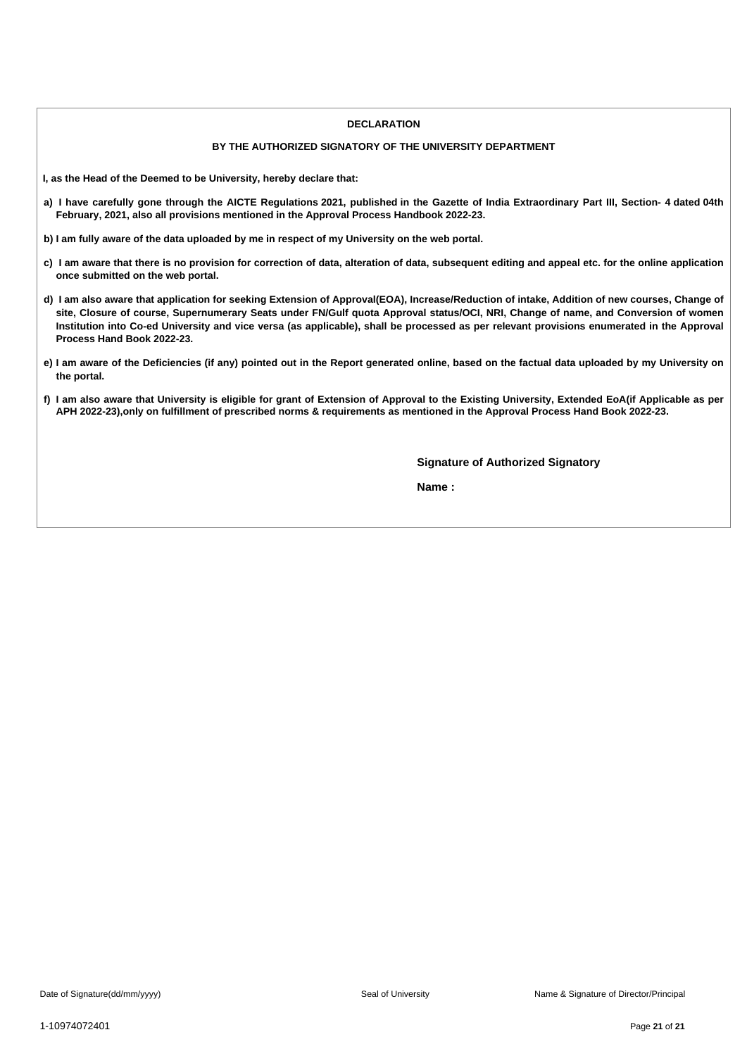#### **DECLARATION**

## **BY THE AUTHORIZED SIGNATORY OF THE UNIVERSITY DEPARTMENT**

**I, as the Head of the Deemed to be University, hereby declare that:**

- a) I have carefully gone through the AICTE Regulations 2021, published in the Gazette of India Extraordinary Part III, Section- 4 dated 04th **February, 2021, also all provisions mentioned in the Approval Process Handbook 2022-23.**
- b) I am fully aware of the data uploaded by me in respect of my University on the web portal.
- c) I am aware that there is no provision for correction of data, alteration of data, subsequent editing and appeal etc. for the online application **once submitted on the web portal.**
- d) I am also aware that application for seeking Extension of Approval(EOA), Increase/Reduction of intake, Addition of new courses, Change of site, Closure of course, Supernumerary Seats under FN/Gulf quota Approval status/OCI, NRI, Change of name, and Conversion of women Institution into Co-ed University and vice versa (as applicable), shall be processed as per relevant provisions enumerated in the Approval **Process Hand Book 2022-23.**
- e) I am aware of the Deficiencies (if any) pointed out in the Report generated online, based on the factual data uploaded by my University on **the portal.**
- f) I am also aware that University is eligible for grant of Extension of Approval to the Existing University, Extended EoA(if Applicable as per APH 2022-23), only on fulfillment of prescribed norms & requirements as mentioned in the Approval Process Hand Book 2022-23.

**Signature of Authorized Signatory**

**Name :**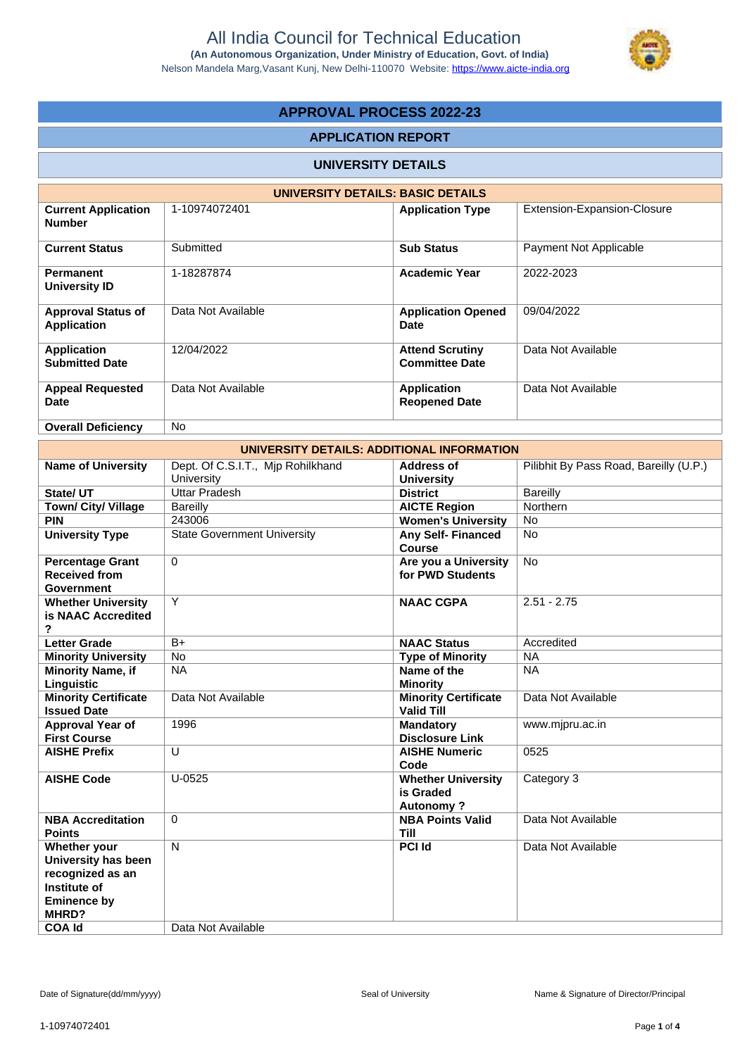

# **APPROVAL PROCESS 2022-23**

# **APPLICATION REPORT**

#### **UNIVERSITY DETAILS**

| UNIVERSITY DETAILS: BASIC DETAILS               |                    |                                                 |                             |  |  |  |  |  |  |  |  |  |
|-------------------------------------------------|--------------------|-------------------------------------------------|-----------------------------|--|--|--|--|--|--|--|--|--|
| <b>Current Application</b><br><b>Number</b>     | 1-10974072401      | <b>Application Type</b>                         | Extension-Expansion-Closure |  |  |  |  |  |  |  |  |  |
| <b>Current Status</b>                           | Submitted          | <b>Sub Status</b>                               | Payment Not Applicable      |  |  |  |  |  |  |  |  |  |
| <b>Permanent</b><br>University ID               | 1-18287874         | <b>Academic Year</b>                            | 2022-2023                   |  |  |  |  |  |  |  |  |  |
| <b>Approval Status of</b><br><b>Application</b> | Data Not Available | <b>Application Opened</b><br>Date               | 09/04/2022                  |  |  |  |  |  |  |  |  |  |
| <b>Application</b><br><b>Submitted Date</b>     | 12/04/2022         | <b>Attend Scrutiny</b><br><b>Committee Date</b> | Data Not Available          |  |  |  |  |  |  |  |  |  |
| <b>Appeal Requested</b><br>Date                 | Data Not Available | <b>Application</b><br><b>Reopened Date</b>      | Data Not Available          |  |  |  |  |  |  |  |  |  |
| <b>Overall Deficiency</b>                       | No.                |                                                 |                             |  |  |  |  |  |  |  |  |  |

| UNIVERSITY DETAILS: ADDITIONAL INFORMATION                                                                              |                                                 |                                                            |                                        |  |  |  |  |  |  |  |  |  |
|-------------------------------------------------------------------------------------------------------------------------|-------------------------------------------------|------------------------------------------------------------|----------------------------------------|--|--|--|--|--|--|--|--|--|
| <b>Name of University</b>                                                                                               | Dept. Of C.S.I.T., Mjp Rohilkhand<br>University | <b>Address of</b><br><b>University</b>                     | Pilibhit By Pass Road, Bareilly (U.P.) |  |  |  |  |  |  |  |  |  |
| State/ UT                                                                                                               | <b>Uttar Pradesh</b>                            | <b>District</b>                                            | <b>Bareilly</b>                        |  |  |  |  |  |  |  |  |  |
| <b>Town/ City/ Village</b>                                                                                              | <b>Bareilly</b>                                 | <b>AICTE Region</b>                                        | Northern                               |  |  |  |  |  |  |  |  |  |
| <b>PIN</b>                                                                                                              | 243006                                          | <b>Women's University</b>                                  | No                                     |  |  |  |  |  |  |  |  |  |
| <b>University Type</b>                                                                                                  | <b>State Government University</b>              | Any Self-Financed<br>Course                                | <b>No</b>                              |  |  |  |  |  |  |  |  |  |
| <b>Percentage Grant</b><br><b>Received from</b><br>Government                                                           | $\mathbf 0$                                     | Are you a University<br>for PWD Students                   | No                                     |  |  |  |  |  |  |  |  |  |
| <b>Whether University</b><br>is NAAC Accredited<br>?                                                                    | Y                                               | <b>NAAC CGPA</b>                                           | $2.51 - 2.75$                          |  |  |  |  |  |  |  |  |  |
| <b>Letter Grade</b>                                                                                                     | $B+$                                            | <b>NAAC Status</b>                                         | Accredited                             |  |  |  |  |  |  |  |  |  |
| <b>Minority University</b>                                                                                              | <b>No</b>                                       | <b>Type of Minority</b>                                    | <b>NA</b>                              |  |  |  |  |  |  |  |  |  |
| <b>Minority Name, if</b><br>Linguistic                                                                                  | <b>NA</b>                                       | Name of the<br><b>Minority</b>                             | <b>NA</b>                              |  |  |  |  |  |  |  |  |  |
| <b>Minority Certificate</b><br><b>Issued Date</b>                                                                       | Data Not Available                              | <b>Minority Certificate</b><br><b>Valid Till</b>           | Data Not Available                     |  |  |  |  |  |  |  |  |  |
| <b>Approval Year of</b><br><b>First Course</b>                                                                          | 1996                                            | <b>Mandatory</b><br><b>Disclosure Link</b>                 | www.mjpru.ac.in                        |  |  |  |  |  |  |  |  |  |
| <b>AISHE Prefix</b>                                                                                                     | $\cup$                                          | <b>AISHE Numeric</b><br>Code                               | 0525                                   |  |  |  |  |  |  |  |  |  |
| <b>AISHE Code</b>                                                                                                       | $U-0525$                                        | <b>Whether University</b><br>is Graded<br><b>Autonomy?</b> | Category 3                             |  |  |  |  |  |  |  |  |  |
| <b>NBA Accreditation</b><br><b>Points</b>                                                                               | $\Omega$                                        | <b>NBA Points Valid</b><br><b>Till</b>                     | Data Not Available                     |  |  |  |  |  |  |  |  |  |
| Whether your<br>University has been<br>recognized as an<br>Institute of<br><b>Eminence by</b><br>MHRD?<br><b>COA Id</b> | N<br>Data Not Available                         | <b>PCI Id</b>                                              | Data Not Available                     |  |  |  |  |  |  |  |  |  |
|                                                                                                                         |                                                 |                                                            |                                        |  |  |  |  |  |  |  |  |  |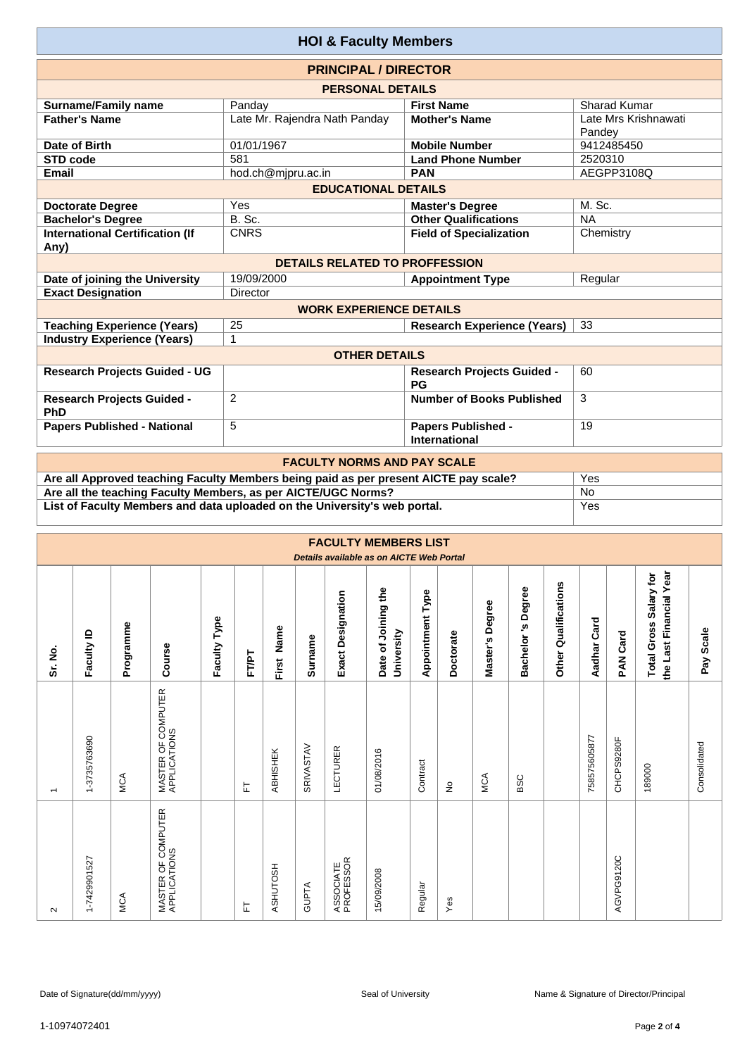| <b>HOI &amp; Faculty Members</b>               |                                       |                                            |                                |  |  |  |  |  |  |  |  |  |
|------------------------------------------------|---------------------------------------|--------------------------------------------|--------------------------------|--|--|--|--|--|--|--|--|--|
| <b>PRINCIPAL / DIRECTOR</b>                    |                                       |                                            |                                |  |  |  |  |  |  |  |  |  |
| <b>PERSONAL DETAILS</b>                        |                                       |                                            |                                |  |  |  |  |  |  |  |  |  |
| <b>Surname/Family name</b>                     | Panday                                | <b>First Name</b>                          | Sharad Kumar                   |  |  |  |  |  |  |  |  |  |
| <b>Father's Name</b>                           | Late Mr. Rajendra Nath Panday         | <b>Mother's Name</b>                       | Late Mrs Krishnawati<br>Pandey |  |  |  |  |  |  |  |  |  |
| Date of Birth                                  | 01/01/1967                            | <b>Mobile Number</b>                       | 9412485450                     |  |  |  |  |  |  |  |  |  |
| <b>STD code</b>                                | 581                                   | <b>Land Phone Number</b>                   | 2520310                        |  |  |  |  |  |  |  |  |  |
| Email                                          | hod.ch@mjpru.ac.in                    | <b>PAN</b>                                 | AEGPP3108Q                     |  |  |  |  |  |  |  |  |  |
| <b>EDUCATIONAL DETAILS</b>                     |                                       |                                            |                                |  |  |  |  |  |  |  |  |  |
| <b>Doctorate Degree</b>                        | <b>Master's Degree</b>                | M. Sc.                                     |                                |  |  |  |  |  |  |  |  |  |
| <b>Bachelor's Degree</b>                       | B. Sc.                                | <b>Other Qualifications</b>                | <b>NA</b>                      |  |  |  |  |  |  |  |  |  |
| <b>International Certification (If</b><br>Any) | <b>CNRS</b>                           | <b>Field of Specialization</b>             | Chemistry                      |  |  |  |  |  |  |  |  |  |
|                                                | <b>DETAILS RELATED TO PROFFESSION</b> |                                            |                                |  |  |  |  |  |  |  |  |  |
| Date of joining the University                 | 19/09/2000                            | <b>Appointment Type</b>                    | Regular                        |  |  |  |  |  |  |  |  |  |
| <b>Exact Designation</b>                       | Director                              |                                            |                                |  |  |  |  |  |  |  |  |  |
|                                                | <b>WORK EXPERIENCE DETAILS</b>        |                                            |                                |  |  |  |  |  |  |  |  |  |
| <b>Teaching Experience (Years)</b>             | 25                                    | <b>Research Experience (Years)</b>         | 33                             |  |  |  |  |  |  |  |  |  |
| <b>Industry Experience (Years)</b>             | 1                                     |                                            |                                |  |  |  |  |  |  |  |  |  |
|                                                | <b>OTHER DETAILS</b>                  |                                            |                                |  |  |  |  |  |  |  |  |  |
| <b>Research Projects Guided - UG</b>           |                                       | <b>Research Projects Guided -</b><br>PG    | 60                             |  |  |  |  |  |  |  |  |  |
| <b>Research Projects Guided -</b><br>PhD       | 2                                     | <b>Number of Books Published</b>           | 3                              |  |  |  |  |  |  |  |  |  |
| <b>Papers Published - National</b>             | 5                                     | <b>Papers Published -</b><br>International |                                |  |  |  |  |  |  |  |  |  |
|                                                | FAQUI TV NADHA AND DAV OQALE          |                                            |                                |  |  |  |  |  |  |  |  |  |

| <b>FACULTY NORMS AND PAY SCALE</b>                                                   |     |  |  |  |  |  |  |  |  |
|--------------------------------------------------------------------------------------|-----|--|--|--|--|--|--|--|--|
| Are all Approved teaching Faculty Members being paid as per present AICTE pay scale? | Yes |  |  |  |  |  |  |  |  |
| Are all the teaching Faculty Members, as per AICTE/UGC Norms?                        | No  |  |  |  |  |  |  |  |  |
| List of Faculty Members and data uploaded on the University's web portal.            | Yes |  |  |  |  |  |  |  |  |
|                                                                                      |     |  |  |  |  |  |  |  |  |

|                          | <b>FACULTY MEMBERS LIST</b><br>Details available as on AICTE Web Portal |           |                                    |              |       |            |              |                          |                                   |                         |                                 |                 |                   |                         |              |            |                                                   |              |
|--------------------------|-------------------------------------------------------------------------|-----------|------------------------------------|--------------|-------|------------|--------------|--------------------------|-----------------------------------|-------------------------|---------------------------------|-----------------|-------------------|-------------------------|--------------|------------|---------------------------------------------------|--------------|
| Sr. No.                  | Faculty ID                                                              | Programme | Course                             | Faculty Type | FT/PT | First Name | Surname      | <b>Exact Designation</b> | Date of Joining the<br>University | <b>Appointment Type</b> | Doctorate                       | Master's Degree | Bachelor's Degree | Qualifications<br>Other | Aadhar Card  | PAN Card   | the Last Financial Year<br>Total Gross Salary for | Pay Scale    |
| $\overline{\phantom{0}}$ | 1-3735763690                                                            | MCA       | MASTER OF COMPUTER<br>APPLICATIONS |              | 匸     | ABHISHEK   | SRIVASTAV    | LECTURER                 | 01/08/2016                        | Contract                | $\frac{\mathsf{O}}{\mathsf{D}}$ | MCA             | BSC               |                         | 758575605877 | CHCPS9280F | 189000                                            | Consolidated |
| $\sim$                   | 1-7429901527                                                            | MCA       | MASTER OF COMPUTER<br>APPLICATIONS |              | 눈     | ASHUTOSH   | <b>GUPTA</b> | ASSOCIATE<br>PROFESSOR   | 15/09/2008                        | Regular                 | Yes                             |                 |                   |                         |              | AGVPG9120C |                                                   |              |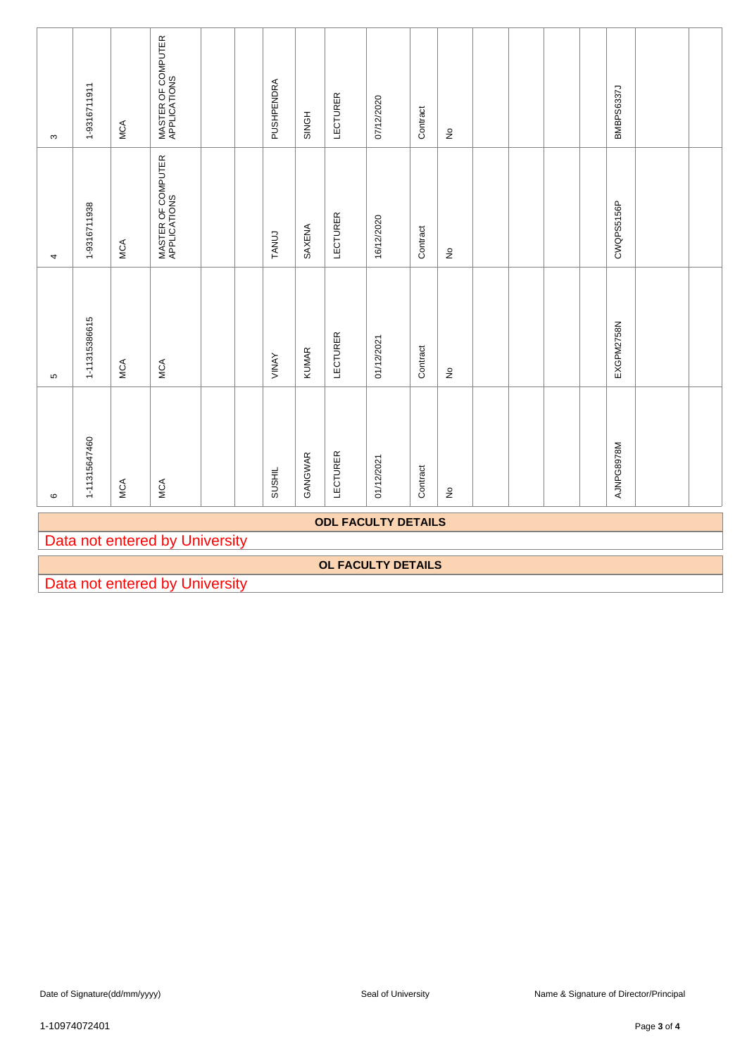| ო                          | 1-9316711911  | <b>MCA</b> | MASTER OF COMPUTER<br>APPLICATIONS |  |  | PUSHPENDRA   | SINGH   | LECTURER        | 07/12/2020                | Contract | $\frac{\circ}{2}$          |  |  | BMBPS6337J |  |  |
|----------------------------|---------------|------------|------------------------------------|--|--|--------------|---------|-----------------|---------------------------|----------|----------------------------|--|--|------------|--|--|
| 4                          | 1-9316711938  | <b>MCA</b> | MASTER OF COMPUTER<br>APPLICATIONS |  |  | <b>TANUJ</b> | SAXENA  | <b>LECTURER</b> | 16/12/2020                | Contract | $\frac{\circ}{2}$          |  |  | CWQPS5156P |  |  |
| Б                          | 1-11315386615 | MCA        | MCA                                |  |  | VINAY        | KUMAR   | <b>LECTURER</b> | 01/12/2021                | Contract | $\stackrel{\mathtt{o}}{z}$ |  |  | EXGPM2758N |  |  |
| $\circ$                    | 1-11315647460 | <b>MCA</b> | MCA                                |  |  | SUSHIL       | GANGWAR | LECTURER        | 01/12/2021                | Contract | $\frac{\circ}{2}$          |  |  | AJNPG8978M |  |  |
| <b>ODL FACULTY DETAILS</b> |               |            |                                    |  |  |              |         |                 |                           |          |                            |  |  |            |  |  |
|                            |               |            | Data not entered by University     |  |  |              |         |                 |                           |          |                            |  |  |            |  |  |
|                            |               |            |                                    |  |  |              |         |                 | <b>OL FACULTY DETAILS</b> |          |                            |  |  |            |  |  |
|                            |               |            | Data not entered by University     |  |  |              |         |                 |                           |          |                            |  |  |            |  |  |